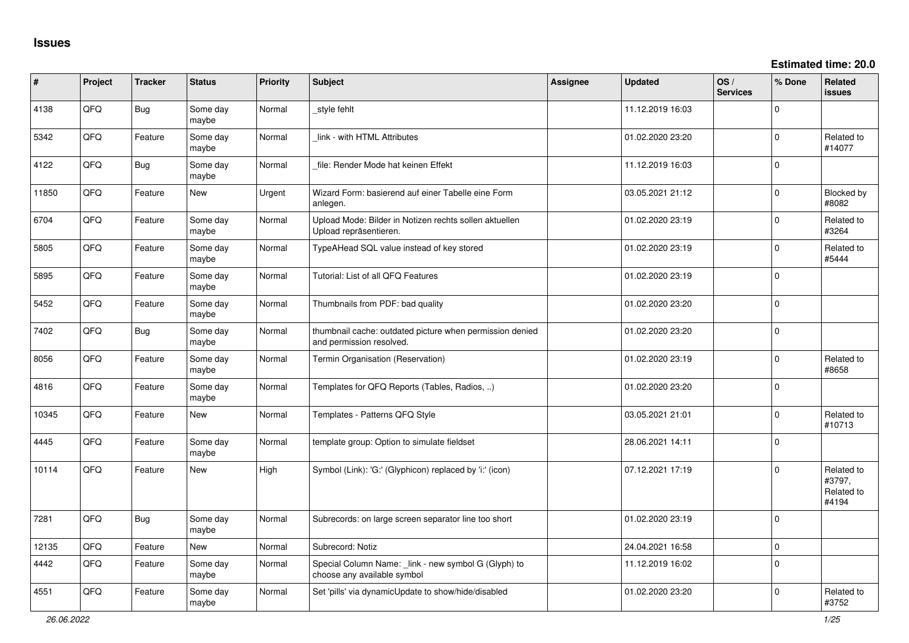**Estimated time: 20.0**

| ∦     | Project | <b>Tracker</b> | <b>Status</b>     | <b>Priority</b> | <b>Subject</b>                                                                       | Assignee | <b>Updated</b>   | OS/<br><b>Services</b> | % Done      | Related<br>issues                           |
|-------|---------|----------------|-------------------|-----------------|--------------------------------------------------------------------------------------|----------|------------------|------------------------|-------------|---------------------------------------------|
| 4138  | QFQ     | Bug            | Some day<br>maybe | Normal          | style fehlt                                                                          |          | 11.12.2019 16:03 |                        | $\Omega$    |                                             |
| 5342  | QFQ     | Feature        | Some day<br>maybe | Normal          | link - with HTML Attributes                                                          |          | 01.02.2020 23:20 |                        | $\Omega$    | Related to<br>#14077                        |
| 4122  | QFQ     | Bug            | Some day<br>maybe | Normal          | file: Render Mode hat keinen Effekt                                                  |          | 11.12.2019 16:03 |                        | $\Omega$    |                                             |
| 11850 | QFQ     | Feature        | <b>New</b>        | Urgent          | Wizard Form: basierend auf einer Tabelle eine Form<br>anlegen.                       |          | 03.05.2021 21:12 |                        | $\Omega$    | Blocked by<br>#8082                         |
| 6704  | QFQ     | Feature        | Some day<br>maybe | Normal          | Upload Mode: Bilder in Notizen rechts sollen aktuellen<br>Upload repräsentieren.     |          | 01.02.2020 23:19 |                        | $\Omega$    | Related to<br>#3264                         |
| 5805  | QFQ     | Feature        | Some day<br>maybe | Normal          | TypeAHead SQL value instead of key stored                                            |          | 01.02.2020 23:19 |                        | $\Omega$    | Related to<br>#5444                         |
| 5895  | QFQ     | Feature        | Some day<br>maybe | Normal          | Tutorial: List of all QFQ Features                                                   |          | 01.02.2020 23:19 |                        | $\Omega$    |                                             |
| 5452  | QFQ     | Feature        | Some day<br>maybe | Normal          | Thumbnails from PDF: bad quality                                                     |          | 01.02.2020 23:20 |                        | $\Omega$    |                                             |
| 7402  | QFQ     | Bug            | Some day<br>maybe | Normal          | thumbnail cache: outdated picture when permission denied<br>and permission resolved. |          | 01.02.2020 23:20 |                        | $\Omega$    |                                             |
| 8056  | QFQ     | Feature        | Some day<br>maybe | Normal          | Termin Organisation (Reservation)                                                    |          | 01.02.2020 23:19 |                        | $\Omega$    | Related to<br>#8658                         |
| 4816  | QFQ     | Feature        | Some day<br>maybe | Normal          | Templates for QFQ Reports (Tables, Radios, )                                         |          | 01.02.2020 23:20 |                        | $\Omega$    |                                             |
| 10345 | QFQ     | Feature        | New               | Normal          | Templates - Patterns QFQ Style                                                       |          | 03.05.2021 21:01 |                        | $\mathbf 0$ | Related to<br>#10713                        |
| 4445  | QFQ     | Feature        | Some day<br>maybe | Normal          | template group: Option to simulate fieldset                                          |          | 28.06.2021 14:11 |                        | $\Omega$    |                                             |
| 10114 | QFQ     | Feature        | <b>New</b>        | High            | Symbol (Link): 'G:' (Glyphicon) replaced by 'i:' (icon)                              |          | 07.12.2021 17:19 |                        | $\Omega$    | Related to<br>#3797,<br>Related to<br>#4194 |
| 7281  | QFQ     | Bug            | Some day<br>maybe | Normal          | Subrecords: on large screen separator line too short                                 |          | 01.02.2020 23:19 |                        | $\Omega$    |                                             |
| 12135 | QFQ     | Feature        | <b>New</b>        | Normal          | Subrecord: Notiz                                                                     |          | 24.04.2021 16:58 |                        | $\mathbf 0$ |                                             |
| 4442  | QFQ     | Feature        | Some day<br>maybe | Normal          | Special Column Name: _link - new symbol G (Glyph) to<br>choose any available symbol  |          | 11.12.2019 16:02 |                        | $\mathbf 0$ |                                             |
| 4551  | QFQ     | Feature        | Some day<br>maybe | Normal          | Set 'pills' via dynamicUpdate to show/hide/disabled                                  |          | 01.02.2020 23:20 |                        | $\Omega$    | Related to<br>#3752                         |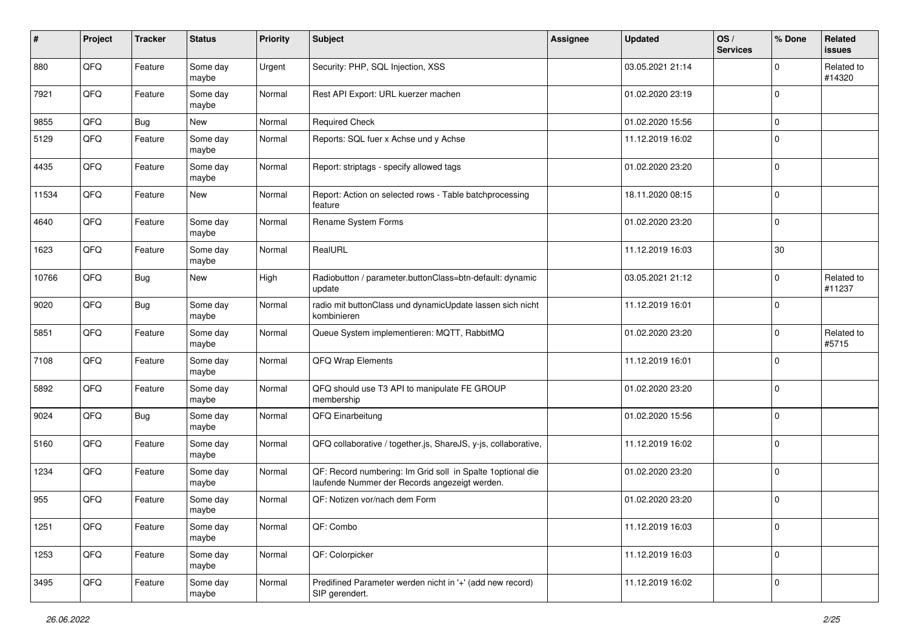| #     | Project | <b>Tracker</b> | <b>Status</b>     | <b>Priority</b> | <b>Subject</b>                                                                                               | Assignee | <b>Updated</b>   | OS/<br><b>Services</b> | % Done       | Related<br><b>issues</b> |
|-------|---------|----------------|-------------------|-----------------|--------------------------------------------------------------------------------------------------------------|----------|------------------|------------------------|--------------|--------------------------|
| 880   | QFQ     | Feature        | Some day<br>maybe | Urgent          | Security: PHP, SQL Injection, XSS                                                                            |          | 03.05.2021 21:14 |                        | <sup>0</sup> | Related to<br>#14320     |
| 7921  | QFQ     | Feature        | Some day<br>maybe | Normal          | Rest API Export: URL kuerzer machen                                                                          |          | 01.02.2020 23:19 |                        | 0            |                          |
| 9855  | QFQ     | <b>Bug</b>     | <b>New</b>        | Normal          | <b>Required Check</b>                                                                                        |          | 01.02.2020 15:56 |                        | 0            |                          |
| 5129  | QFQ     | Feature        | Some day<br>maybe | Normal          | Reports: SQL fuer x Achse und y Achse                                                                        |          | 11.12.2019 16:02 |                        | $\Omega$     |                          |
| 4435  | QFQ     | Feature        | Some day<br>maybe | Normal          | Report: striptags - specify allowed tags                                                                     |          | 01.02.2020 23:20 |                        | $\Omega$     |                          |
| 11534 | QFQ     | Feature        | <b>New</b>        | Normal          | Report: Action on selected rows - Table batchprocessing<br>feature                                           |          | 18.11.2020 08:15 |                        | $\mathbf 0$  |                          |
| 4640  | QFQ     | Feature        | Some day<br>maybe | Normal          | Rename System Forms                                                                                          |          | 01.02.2020 23:20 |                        | 0            |                          |
| 1623  | QFQ     | Feature        | Some day<br>maybe | Normal          | RealURL                                                                                                      |          | 11.12.2019 16:03 |                        | 30           |                          |
| 10766 | QFQ     | <b>Bug</b>     | <b>New</b>        | High            | Radiobutton / parameter.buttonClass=btn-default: dynamic<br>update                                           |          | 03.05.2021 21:12 |                        | 0            | Related to<br>#11237     |
| 9020  | QFQ     | <b>Bug</b>     | Some day<br>maybe | Normal          | radio mit buttonClass und dynamicUpdate lassen sich nicht<br>kombinieren                                     |          | 11.12.2019 16:01 |                        | $\Omega$     |                          |
| 5851  | QFQ     | Feature        | Some day<br>maybe | Normal          | Queue System implementieren: MQTT, RabbitMQ                                                                  |          | 01.02.2020 23:20 |                        | $\Omega$     | Related to<br>#5715      |
| 7108  | QFQ     | Feature        | Some day<br>maybe | Normal          | QFQ Wrap Elements                                                                                            |          | 11.12.2019 16:01 |                        | $\Omega$     |                          |
| 5892  | QFQ     | Feature        | Some day<br>maybe | Normal          | QFQ should use T3 API to manipulate FE GROUP<br>membership                                                   |          | 01.02.2020 23:20 |                        | $\mathbf 0$  |                          |
| 9024  | QFQ     | <b>Bug</b>     | Some day<br>maybe | Normal          | QFQ Einarbeitung                                                                                             |          | 01.02.2020 15:56 |                        | 0            |                          |
| 5160  | QFQ     | Feature        | Some day<br>maybe | Normal          | QFQ collaborative / together.js, ShareJS, y-js, collaborative,                                               |          | 11.12.2019 16:02 |                        | $\mathbf 0$  |                          |
| 1234  | QFQ     | Feature        | Some day<br>maybe | Normal          | QF: Record numbering: Im Grid soll in Spalte 1 optional die<br>laufende Nummer der Records angezeigt werden. |          | 01.02.2020 23:20 |                        | 0            |                          |
| 955   | QFQ     | Feature        | Some day<br>maybe | Normal          | QF: Notizen vor/nach dem Form                                                                                |          | 01.02.2020 23:20 |                        | $\mathbf 0$  |                          |
| 1251  | QFQ     | Feature        | Some day<br>maybe | Normal          | QF: Combo                                                                                                    |          | 11.12.2019 16:03 |                        | $\mathbf 0$  |                          |
| 1253  | QFQ     | Feature        | Some day<br>maybe | Normal          | QF: Colorpicker                                                                                              |          | 11.12.2019 16:03 |                        | $\mathbf 0$  |                          |
| 3495  | QFQ     | Feature        | Some day<br>maybe | Normal          | Predifined Parameter werden nicht in '+' (add new record)<br>SIP gerendert.                                  |          | 11.12.2019 16:02 |                        | 0            |                          |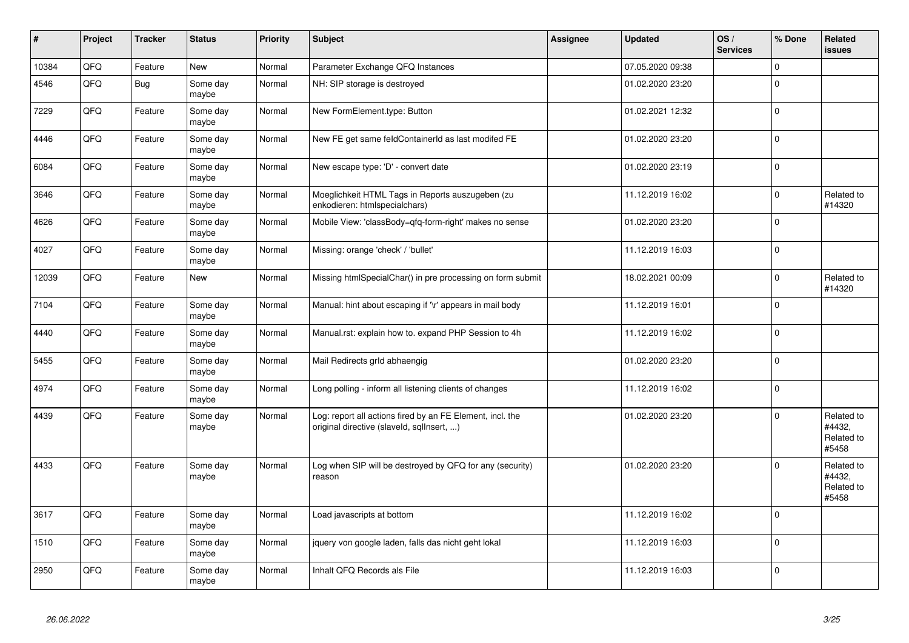| $\vert$ # | Project | <b>Tracker</b> | <b>Status</b>     | <b>Priority</b> | <b>Subject</b>                                                                                         | Assignee | <b>Updated</b>   | OS/<br><b>Services</b> | % Done      | Related<br><b>issues</b>                    |
|-----------|---------|----------------|-------------------|-----------------|--------------------------------------------------------------------------------------------------------|----------|------------------|------------------------|-------------|---------------------------------------------|
| 10384     | QFQ     | Feature        | <b>New</b>        | Normal          | Parameter Exchange QFQ Instances                                                                       |          | 07.05.2020 09:38 |                        | $\mathbf 0$ |                                             |
| 4546      | QFQ     | <b>Bug</b>     | Some day<br>maybe | Normal          | NH: SIP storage is destroyed                                                                           |          | 01.02.2020 23:20 |                        | $\Omega$    |                                             |
| 7229      | QFQ     | Feature        | Some day<br>maybe | Normal          | New FormElement.type: Button                                                                           |          | 01.02.2021 12:32 |                        | $\Omega$    |                                             |
| 4446      | QFQ     | Feature        | Some day<br>maybe | Normal          | New FE get same feldContainerId as last modifed FE                                                     |          | 01.02.2020 23:20 |                        | $\Omega$    |                                             |
| 6084      | QFQ     | Feature        | Some day<br>maybe | Normal          | New escape type: 'D' - convert date                                                                    |          | 01.02.2020 23:19 |                        | $\Omega$    |                                             |
| 3646      | QFQ     | Feature        | Some day<br>maybe | Normal          | Moeglichkeit HTML Tags in Reports auszugeben (zu<br>enkodieren: htmlspecialchars)                      |          | 11.12.2019 16:02 |                        | $\Omega$    | Related to<br>#14320                        |
| 4626      | QFQ     | Feature        | Some day<br>maybe | Normal          | Mobile View: 'classBody=qfq-form-right' makes no sense                                                 |          | 01.02.2020 23:20 |                        | $\pmb{0}$   |                                             |
| 4027      | QFQ     | Feature        | Some day<br>maybe | Normal          | Missing: orange 'check' / 'bullet'                                                                     |          | 11.12.2019 16:03 |                        | $\mathbf 0$ |                                             |
| 12039     | QFQ     | Feature        | <b>New</b>        | Normal          | Missing htmlSpecialChar() in pre processing on form submit                                             |          | 18.02.2021 00:09 |                        | $\Omega$    | Related to<br>#14320                        |
| 7104      | QFQ     | Feature        | Some day<br>maybe | Normal          | Manual: hint about escaping if '\r' appears in mail body                                               |          | 11.12.2019 16:01 |                        | $\mathbf 0$ |                                             |
| 4440      | QFQ     | Feature        | Some day<br>maybe | Normal          | Manual.rst: explain how to. expand PHP Session to 4h                                                   |          | 11.12.2019 16:02 |                        | $\mathbf 0$ |                                             |
| 5455      | QFQ     | Feature        | Some day<br>maybe | Normal          | Mail Redirects grld abhaengig                                                                          |          | 01.02.2020 23:20 |                        | $\mathbf 0$ |                                             |
| 4974      | QFQ     | Feature        | Some day<br>maybe | Normal          | Long polling - inform all listening clients of changes                                                 |          | 11.12.2019 16:02 |                        | 0           |                                             |
| 4439      | QFQ     | Feature        | Some day<br>maybe | Normal          | Log: report all actions fired by an FE Element, incl. the<br>original directive (slaveld, sqllnsert, ) |          | 01.02.2020 23:20 |                        | $\mathbf 0$ | Related to<br>#4432,<br>Related to<br>#5458 |
| 4433      | QFQ     | Feature        | Some day<br>maybe | Normal          | Log when SIP will be destroyed by QFQ for any (security)<br>reason                                     |          | 01.02.2020 23:20 |                        | $\Omega$    | Related to<br>#4432,<br>Related to<br>#5458 |
| 3617      | QFQ     | Feature        | Some day<br>maybe | Normal          | Load javascripts at bottom                                                                             |          | 11.12.2019 16:02 |                        | $\Omega$    |                                             |
| 1510      | QFQ     | Feature        | Some day<br>maybe | Normal          | jquery von google laden, falls das nicht geht lokal                                                    |          | 11.12.2019 16:03 |                        | $\Omega$    |                                             |
| 2950      | QFQ     | Feature        | Some day<br>maybe | Normal          | Inhalt QFQ Records als File                                                                            |          | 11.12.2019 16:03 |                        | $\Omega$    |                                             |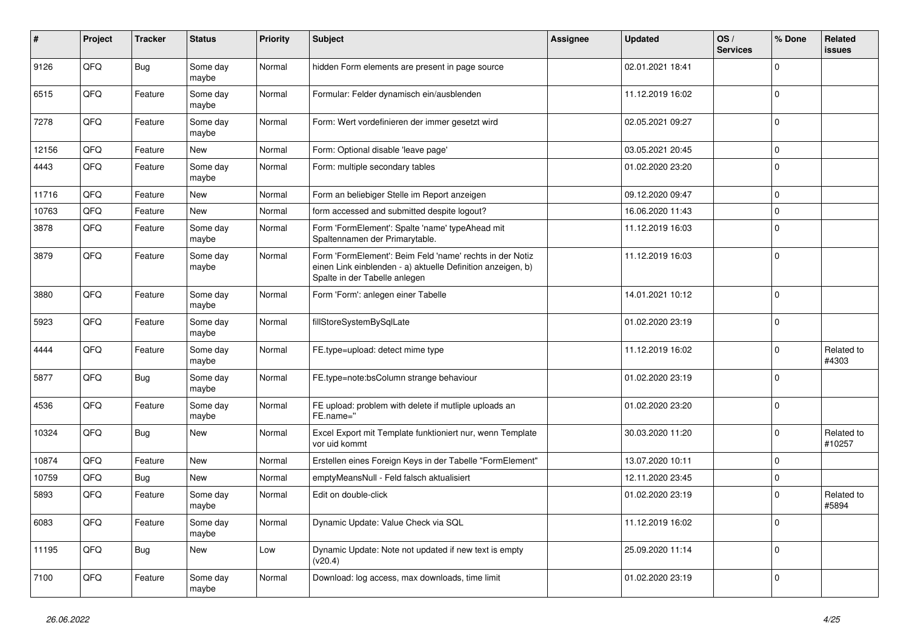| #     | Project | <b>Tracker</b> | <b>Status</b>     | <b>Priority</b> | <b>Subject</b>                                                                                                                                           | <b>Assignee</b> | <b>Updated</b>   | OS/<br><b>Services</b> | % Done      | Related<br>issues    |
|-------|---------|----------------|-------------------|-----------------|----------------------------------------------------------------------------------------------------------------------------------------------------------|-----------------|------------------|------------------------|-------------|----------------------|
| 9126  | QFQ     | Bug            | Some day<br>maybe | Normal          | hidden Form elements are present in page source                                                                                                          |                 | 02.01.2021 18:41 |                        | $\Omega$    |                      |
| 6515  | QFQ     | Feature        | Some day<br>maybe | Normal          | Formular: Felder dynamisch ein/ausblenden                                                                                                                |                 | 11.12.2019 16:02 |                        | $\Omega$    |                      |
| 7278  | QFQ     | Feature        | Some day<br>maybe | Normal          | Form: Wert vordefinieren der immer gesetzt wird                                                                                                          |                 | 02.05.2021 09:27 |                        | $\Omega$    |                      |
| 12156 | QFQ     | Feature        | <b>New</b>        | Normal          | Form: Optional disable 'leave page'                                                                                                                      |                 | 03.05.2021 20:45 |                        | $\Omega$    |                      |
| 4443  | QFQ     | Feature        | Some day<br>maybe | Normal          | Form: multiple secondary tables                                                                                                                          |                 | 01.02.2020 23:20 |                        | $\Omega$    |                      |
| 11716 | QFQ     | Feature        | <b>New</b>        | Normal          | Form an beliebiger Stelle im Report anzeigen                                                                                                             |                 | 09.12.2020 09:47 |                        | $\mathbf 0$ |                      |
| 10763 | QFQ     | Feature        | <b>New</b>        | Normal          | form accessed and submitted despite logout?                                                                                                              |                 | 16.06.2020 11:43 |                        | $\mathbf 0$ |                      |
| 3878  | QFQ     | Feature        | Some day<br>maybe | Normal          | Form 'FormElement': Spalte 'name' typeAhead mit<br>Spaltennamen der Primarytable.                                                                        |                 | 11.12.2019 16:03 |                        | $\Omega$    |                      |
| 3879  | QFQ     | Feature        | Some day<br>maybe | Normal          | Form 'FormElement': Beim Feld 'name' rechts in der Notiz<br>einen Link einblenden - a) aktuelle Definition anzeigen, b)<br>Spalte in der Tabelle anlegen |                 | 11.12.2019 16:03 |                        | $\Omega$    |                      |
| 3880  | QFQ     | Feature        | Some day<br>maybe | Normal          | Form 'Form': anlegen einer Tabelle                                                                                                                       |                 | 14.01.2021 10:12 |                        | $\Omega$    |                      |
| 5923  | QFQ     | Feature        | Some day<br>maybe | Normal          | fillStoreSystemBySqlLate                                                                                                                                 |                 | 01.02.2020 23:19 |                        | $\Omega$    |                      |
| 4444  | QFQ     | Feature        | Some day<br>maybe | Normal          | FE.type=upload: detect mime type                                                                                                                         |                 | 11.12.2019 16:02 |                        | $\Omega$    | Related to<br>#4303  |
| 5877  | QFQ     | Bug            | Some day<br>maybe | Normal          | FE.type=note:bsColumn strange behaviour                                                                                                                  |                 | 01.02.2020 23:19 |                        | $\Omega$    |                      |
| 4536  | QFQ     | Feature        | Some day<br>maybe | Normal          | FE upload: problem with delete if mutliple uploads an<br>FE.name="                                                                                       |                 | 01.02.2020 23:20 |                        | $\Omega$    |                      |
| 10324 | QFQ     | Bug            | <b>New</b>        | Normal          | Excel Export mit Template funktioniert nur, wenn Template<br>vor uid kommt                                                                               |                 | 30.03.2020 11:20 |                        | $\Omega$    | Related to<br>#10257 |
| 10874 | QFQ     | Feature        | <b>New</b>        | Normal          | Erstellen eines Foreign Keys in der Tabelle "FormElement"                                                                                                |                 | 13.07.2020 10:11 |                        | $\Omega$    |                      |
| 10759 | QFQ     | Bug            | <b>New</b>        | Normal          | emptyMeansNull - Feld falsch aktualisiert                                                                                                                |                 | 12.11.2020 23:45 |                        | $\mathbf 0$ |                      |
| 5893  | QFQ     | Feature        | Some day<br>maybe | Normal          | Edit on double-click                                                                                                                                     |                 | 01.02.2020 23:19 |                        | $\Omega$    | Related to<br>#5894  |
| 6083  | QFQ     | Feature        | Some day<br>maybe | Normal          | Dynamic Update: Value Check via SQL                                                                                                                      |                 | 11.12.2019 16:02 |                        | $\Omega$    |                      |
| 11195 | QFQ     | Bug            | <b>New</b>        | Low             | Dynamic Update: Note not updated if new text is empty<br>(v20.4)                                                                                         |                 | 25.09.2020 11:14 |                        | $\Omega$    |                      |
| 7100  | QFQ     | Feature        | Some day<br>maybe | Normal          | Download: log access, max downloads, time limit                                                                                                          |                 | 01.02.2020 23:19 |                        | $\Omega$    |                      |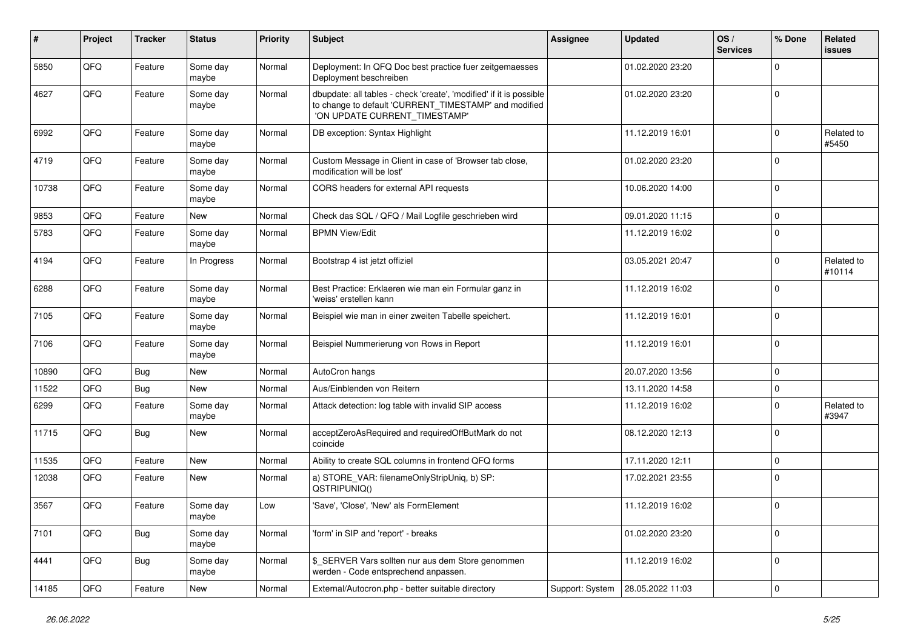| ∦     | Project | <b>Tracker</b> | <b>Status</b>     | <b>Priority</b> | <b>Subject</b>                                                                                                                                                | Assignee        | <b>Updated</b>   | OS/<br><b>Services</b> | % Done       | Related<br>issues    |
|-------|---------|----------------|-------------------|-----------------|---------------------------------------------------------------------------------------------------------------------------------------------------------------|-----------------|------------------|------------------------|--------------|----------------------|
| 5850  | QFQ     | Feature        | Some day<br>maybe | Normal          | Deployment: In QFQ Doc best practice fuer zeitgemaesses<br>Deployment beschreiben                                                                             |                 | 01.02.2020 23:20 |                        | $\Omega$     |                      |
| 4627  | QFQ     | Feature        | Some day<br>maybe | Normal          | dbupdate: all tables - check 'create', 'modified' if it is possible<br>to change to default 'CURRENT_TIMESTAMP' and modified<br>'ON UPDATE CURRENT_TIMESTAMP' |                 | 01.02.2020 23:20 |                        | $\mathbf 0$  |                      |
| 6992  | QFQ     | Feature        | Some day<br>maybe | Normal          | DB exception: Syntax Highlight                                                                                                                                |                 | 11.12.2019 16:01 |                        | $\mathbf 0$  | Related to<br>#5450  |
| 4719  | QFQ     | Feature        | Some day<br>maybe | Normal          | Custom Message in Client in case of 'Browser tab close,<br>modification will be lost'                                                                         |                 | 01.02.2020 23:20 |                        | $\Omega$     |                      |
| 10738 | QFQ     | Feature        | Some day<br>maybe | Normal          | CORS headers for external API requests                                                                                                                        |                 | 10.06.2020 14:00 |                        | $\mathbf 0$  |                      |
| 9853  | QFQ     | Feature        | <b>New</b>        | Normal          | Check das SQL / QFQ / Mail Logfile geschrieben wird                                                                                                           |                 | 09.01.2020 11:15 |                        | $\mathbf 0$  |                      |
| 5783  | QFQ     | Feature        | Some day<br>maybe | Normal          | <b>BPMN View/Edit</b>                                                                                                                                         |                 | 11.12.2019 16:02 |                        | $\Omega$     |                      |
| 4194  | QFQ     | Feature        | In Progress       | Normal          | Bootstrap 4 ist jetzt offiziel                                                                                                                                |                 | 03.05.2021 20:47 |                        | $\mathbf 0$  | Related to<br>#10114 |
| 6288  | QFQ     | Feature        | Some day<br>maybe | Normal          | Best Practice: Erklaeren wie man ein Formular ganz in<br>'weiss' erstellen kann                                                                               |                 | 11.12.2019 16:02 |                        | $\mathbf 0$  |                      |
| 7105  | QFQ     | Feature        | Some day<br>maybe | Normal          | Beispiel wie man in einer zweiten Tabelle speichert.                                                                                                          |                 | 11.12.2019 16:01 |                        | $\Omega$     |                      |
| 7106  | QFQ     | Feature        | Some day<br>maybe | Normal          | Beispiel Nummerierung von Rows in Report                                                                                                                      |                 | 11.12.2019 16:01 |                        | $\mathbf{0}$ |                      |
| 10890 | QFQ     | Bug            | <b>New</b>        | Normal          | AutoCron hangs                                                                                                                                                |                 | 20.07.2020 13:56 |                        | $\mathbf 0$  |                      |
| 11522 | QFQ     | Bug            | <b>New</b>        | Normal          | Aus/Einblenden von Reitern                                                                                                                                    |                 | 13.11.2020 14:58 |                        | $\mathbf 0$  |                      |
| 6299  | QFQ     | Feature        | Some day<br>maybe | Normal          | Attack detection: log table with invalid SIP access                                                                                                           |                 | 11.12.2019 16:02 |                        | $\Omega$     | Related to<br>#3947  |
| 11715 | QFQ     | Bug            | <b>New</b>        | Normal          | acceptZeroAsRequired and requiredOffButMark do not<br>coincide                                                                                                |                 | 08.12.2020 12:13 |                        | $\Omega$     |                      |
| 11535 | QFQ     | Feature        | <b>New</b>        | Normal          | Ability to create SQL columns in frontend QFQ forms                                                                                                           |                 | 17.11.2020 12:11 |                        | $\mathbf 0$  |                      |
| 12038 | QFQ     | Feature        | New               | Normal          | a) STORE_VAR: filenameOnlyStripUniq, b) SP:<br>QSTRIPUNIQ()                                                                                                   |                 | 17.02.2021 23:55 |                        | $\Omega$     |                      |
| 3567  | QFQ     | Feature        | Some day<br>maybe | Low             | 'Save', 'Close', 'New' als FormElement                                                                                                                        |                 | 11.12.2019 16:02 |                        | $\mathbf 0$  |                      |
| 7101  | QFQ     | <b>Bug</b>     | Some day<br>maybe | Normal          | 'form' in SIP and 'report' - breaks                                                                                                                           |                 | 01.02.2020 23:20 |                        | $\mathbf 0$  |                      |
| 4441  | QFQ     | <b>Bug</b>     | Some day<br>maybe | Normal          | \$_SERVER Vars sollten nur aus dem Store genommen<br>werden - Code entsprechend anpassen.                                                                     |                 | 11.12.2019 16:02 |                        | $\mathbf 0$  |                      |
| 14185 | QFG     | Feature        | New               | Normal          | External/Autocron.php - better suitable directory                                                                                                             | Support: System | 28.05.2022 11:03 |                        | $\mathbf 0$  |                      |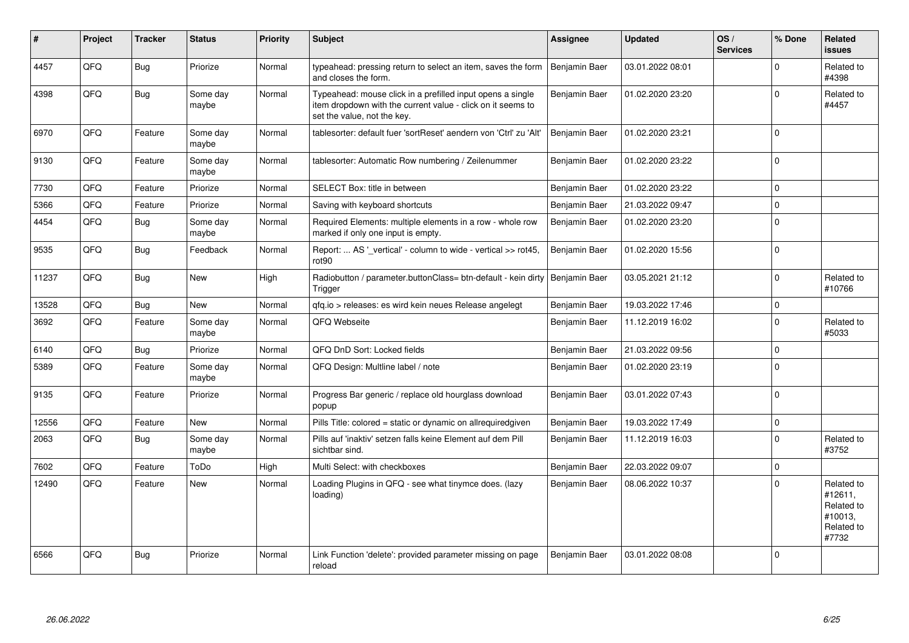| #     | Project | <b>Tracker</b> | <b>Status</b>     | <b>Priority</b> | <b>Subject</b>                                                                                                                                           | Assignee      | <b>Updated</b>   | OS/<br><b>Services</b> | % Done      | Related<br>issues                                                     |
|-------|---------|----------------|-------------------|-----------------|----------------------------------------------------------------------------------------------------------------------------------------------------------|---------------|------------------|------------------------|-------------|-----------------------------------------------------------------------|
| 4457  | QFQ     | Bug            | Priorize          | Normal          | typeahead: pressing return to select an item, saves the form<br>and closes the form.                                                                     | Benjamin Baer | 03.01.2022 08:01 |                        | $\Omega$    | Related to<br>#4398                                                   |
| 4398  | QFQ     | <b>Bug</b>     | Some day<br>maybe | Normal          | Typeahead: mouse click in a prefilled input opens a single<br>item dropdown with the current value - click on it seems to<br>set the value, not the key. | Benjamin Baer | 01.02.2020 23:20 |                        | $\Omega$    | Related to<br>#4457                                                   |
| 6970  | QFQ     | Feature        | Some day<br>maybe | Normal          | tablesorter: default fuer 'sortReset' aendern von 'Ctrl' zu 'Alt'                                                                                        | Benjamin Baer | 01.02.2020 23:21 |                        | $\Omega$    |                                                                       |
| 9130  | QFQ     | Feature        | Some day<br>maybe | Normal          | tablesorter: Automatic Row numbering / Zeilenummer                                                                                                       | Benjamin Baer | 01.02.2020 23:22 |                        | $\mathbf 0$ |                                                                       |
| 7730  | QFQ     | Feature        | Priorize          | Normal          | SELECT Box: title in between                                                                                                                             | Benjamin Baer | 01.02.2020 23:22 |                        | $\Omega$    |                                                                       |
| 5366  | QFQ     | Feature        | Priorize          | Normal          | Saving with keyboard shortcuts                                                                                                                           | Benjamin Baer | 21.03.2022 09:47 |                        | $\mathbf 0$ |                                                                       |
| 4454  | QFQ     | <b>Bug</b>     | Some day<br>maybe | Normal          | Required Elements: multiple elements in a row - whole row<br>marked if only one input is empty.                                                          | Benjamin Baer | 01.02.2020 23:20 |                        | $\Omega$    |                                                                       |
| 9535  | QFQ     | <b>Bug</b>     | Feedback          | Normal          | Report:  AS '_vertical' - column to wide - vertical >> rot45,<br>rot <sub>90</sub>                                                                       | Benjamin Baer | 01.02.2020 15:56 |                        | $\Omega$    |                                                                       |
| 11237 | QFQ     | Bug            | <b>New</b>        | High            | Radiobutton / parameter.buttonClass= btn-default - kein dirty  <br>Trigger                                                                               | Benjamin Baer | 03.05.2021 21:12 |                        | $\Omega$    | Related to<br>#10766                                                  |
| 13528 | QFQ     | Bug            | <b>New</b>        | Normal          | qfq.io > releases: es wird kein neues Release angelegt                                                                                                   | Benjamin Baer | 19.03.2022 17:46 |                        | $\mathbf 0$ |                                                                       |
| 3692  | QFQ     | Feature        | Some day<br>maybe | Normal          | QFQ Webseite                                                                                                                                             | Benjamin Baer | 11.12.2019 16:02 |                        | $\Omega$    | Related to<br>#5033                                                   |
| 6140  | QFQ     | Bug            | Priorize          | Normal          | QFQ DnD Sort: Locked fields                                                                                                                              | Benjamin Baer | 21.03.2022 09:56 |                        | $\Omega$    |                                                                       |
| 5389  | QFQ     | Feature        | Some day<br>maybe | Normal          | QFQ Design: Multline label / note                                                                                                                        | Benjamin Baer | 01.02.2020 23:19 |                        | $\Omega$    |                                                                       |
| 9135  | QFQ     | Feature        | Priorize          | Normal          | Progress Bar generic / replace old hourglass download<br>popup                                                                                           | Benjamin Baer | 03.01.2022 07:43 |                        | $\Omega$    |                                                                       |
| 12556 | QFQ     | Feature        | <b>New</b>        | Normal          | Pills Title: colored = static or dynamic on allrequiredgiven                                                                                             | Benjamin Baer | 19.03.2022 17:49 |                        | $\Omega$    |                                                                       |
| 2063  | QFQ     | Bug            | Some day<br>maybe | Normal          | Pills auf 'inaktiv' setzen falls keine Element auf dem Pill<br>sichtbar sind.                                                                            | Benjamin Baer | 11.12.2019 16:03 |                        | $\Omega$    | Related to<br>#3752                                                   |
| 7602  | QFQ     | Feature        | ToDo              | High            | Multi Select: with checkboxes                                                                                                                            | Benjamin Baer | 22.03.2022 09:07 |                        | $\mathbf 0$ |                                                                       |
| 12490 | QFQ     | Feature        | <b>New</b>        | Normal          | Loading Plugins in QFQ - see what tinymce does. (lazy<br>loading)                                                                                        | Benjamin Baer | 08.06.2022 10:37 |                        | $\Omega$    | Related to<br>#12611,<br>Related to<br>#10013,<br>Related to<br>#7732 |
| 6566  | QFQ     | <b>Bug</b>     | Priorize          | Normal          | Link Function 'delete': provided parameter missing on page<br>reload                                                                                     | Benjamin Baer | 03.01.2022 08:08 |                        | $\Omega$    |                                                                       |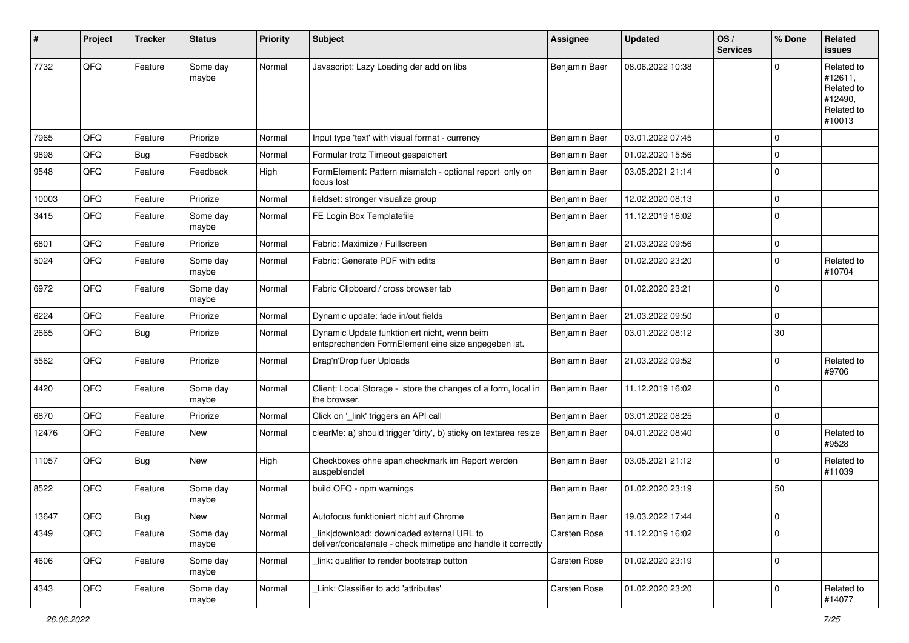| #     | Project | <b>Tracker</b> | <b>Status</b>     | <b>Priority</b> | Subject                                                                                                   | <b>Assignee</b> | <b>Updated</b>   | OS/<br><b>Services</b> | % Done      | Related<br>issues                                                      |
|-------|---------|----------------|-------------------|-----------------|-----------------------------------------------------------------------------------------------------------|-----------------|------------------|------------------------|-------------|------------------------------------------------------------------------|
| 7732  | QFQ     | Feature        | Some day<br>maybe | Normal          | Javascript: Lazy Loading der add on libs                                                                  | Benjamin Baer   | 08.06.2022 10:38 |                        | $\Omega$    | Related to<br>#12611,<br>Related to<br>#12490,<br>Related to<br>#10013 |
| 7965  | QFQ     | Feature        | Priorize          | Normal          | Input type 'text' with visual format - currency                                                           | Benjamin Baer   | 03.01.2022 07:45 |                        | $\mathbf 0$ |                                                                        |
| 9898  | QFQ     | Bug            | Feedback          | Normal          | Formular trotz Timeout gespeichert                                                                        | Benjamin Baer   | 01.02.2020 15:56 |                        | $\Omega$    |                                                                        |
| 9548  | QFQ     | Feature        | Feedback          | High            | FormElement: Pattern mismatch - optional report only on<br>focus lost                                     | Benjamin Baer   | 03.05.2021 21:14 |                        | 0           |                                                                        |
| 10003 | QFQ     | Feature        | Priorize          | Normal          | fieldset: stronger visualize group                                                                        | Benjamin Baer   | 12.02.2020 08:13 |                        | $\mathbf 0$ |                                                                        |
| 3415  | QFQ     | Feature        | Some day<br>maybe | Normal          | FE Login Box Templatefile                                                                                 | Benjamin Baer   | 11.12.2019 16:02 |                        | $\Omega$    |                                                                        |
| 6801  | QFQ     | Feature        | Priorize          | Normal          | Fabric: Maximize / FullIscreen                                                                            | Benjamin Baer   | 21.03.2022 09:56 |                        | $\mathbf 0$ |                                                                        |
| 5024  | QFQ     | Feature        | Some day<br>maybe | Normal          | Fabric: Generate PDF with edits                                                                           | Benjamin Baer   | 01.02.2020 23:20 |                        | $\mathbf 0$ | Related to<br>#10704                                                   |
| 6972  | QFQ     | Feature        | Some day<br>maybe | Normal          | Fabric Clipboard / cross browser tab                                                                      | Benjamin Baer   | 01.02.2020 23:21 |                        | $\mathbf 0$ |                                                                        |
| 6224  | QFQ     | Feature        | Priorize          | Normal          | Dynamic update: fade in/out fields                                                                        | Benjamin Baer   | 21.03.2022 09:50 |                        | $\mathbf 0$ |                                                                        |
| 2665  | QFQ     | Bug            | Priorize          | Normal          | Dynamic Update funktioniert nicht, wenn beim<br>entsprechenden FormElement eine size angegeben ist.       | Benjamin Baer   | 03.01.2022 08:12 |                        | 30          |                                                                        |
| 5562  | QFQ     | Feature        | Priorize          | Normal          | Drag'n'Drop fuer Uploads                                                                                  | Benjamin Baer   | 21.03.2022 09:52 |                        | $\Omega$    | Related to<br>#9706                                                    |
| 4420  | QFQ     | Feature        | Some day<br>maybe | Normal          | Client: Local Storage - store the changes of a form, local in<br>the browser.                             | Benjamin Baer   | 11.12.2019 16:02 |                        | $\mathbf 0$ |                                                                        |
| 6870  | QFQ     | Feature        | Priorize          | Normal          | Click on '_link' triggers an API call                                                                     | Benjamin Baer   | 03.01.2022 08:25 |                        | 0           |                                                                        |
| 12476 | QFQ     | Feature        | <b>New</b>        | Normal          | clearMe: a) should trigger 'dirty', b) sticky on textarea resize                                          | Benjamin Baer   | 04.01.2022 08:40 |                        | $\Omega$    | Related to<br>#9528                                                    |
| 11057 | QFQ     | <b>Bug</b>     | New               | High            | Checkboxes ohne span.checkmark im Report werden<br>ausgeblendet                                           | Benjamin Baer   | 03.05.2021 21:12 |                        | $\Omega$    | Related to<br>#11039                                                   |
| 8522  | QFQ     | Feature        | Some day<br>maybe | Normal          | build QFQ - npm warnings                                                                                  | Benjamin Baer   | 01.02.2020 23:19 |                        | 50          |                                                                        |
| 13647 | QFQ     | <b>Bug</b>     | New               | Normal          | Autofocus funktioniert nicht auf Chrome                                                                   | Benjamin Baer   | 19.03.2022 17:44 |                        | O           |                                                                        |
| 4349  | QFQ     | Feature        | Some day<br>maybe | Normal          | link download: downloaded external URL to<br>deliver/concatenate - check mimetipe and handle it correctly | Carsten Rose    | 11.12.2019 16:02 |                        | $\mathbf 0$ |                                                                        |
| 4606  | QFQ     | Feature        | Some day<br>maybe | Normal          | link: qualifier to render bootstrap button                                                                | Carsten Rose    | 01.02.2020 23:19 |                        | 0           |                                                                        |
| 4343  | QFQ     | Feature        | Some day<br>maybe | Normal          | Link: Classifier to add 'attributes'                                                                      | Carsten Rose    | 01.02.2020 23:20 |                        | $\mathbf 0$ | Related to<br>#14077                                                   |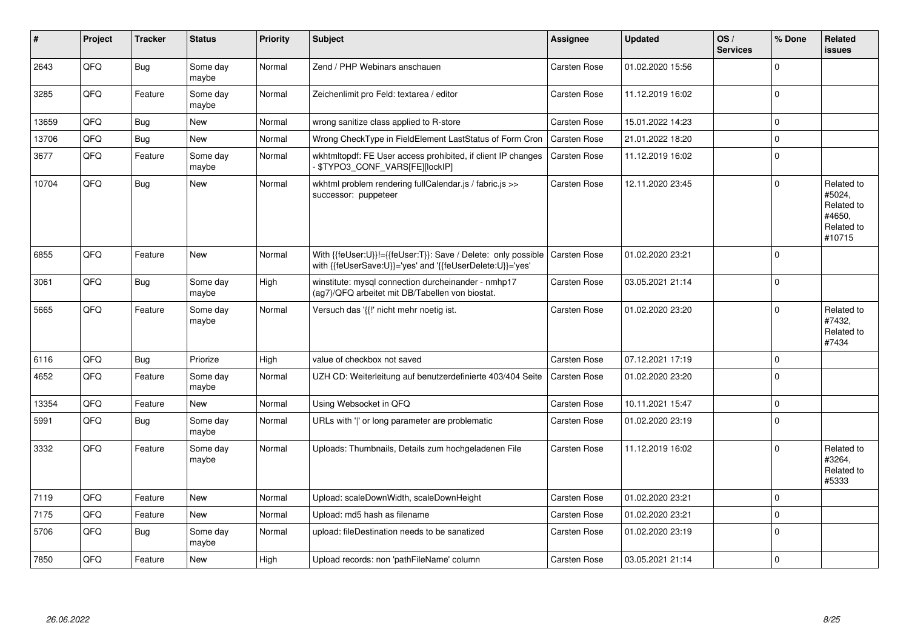| #     | Project | <b>Tracker</b> | <b>Status</b>     | <b>Priority</b> | <b>Subject</b>                                                                                                             | <b>Assignee</b>     | <b>Updated</b>   | OS/<br><b>Services</b> | % Done      | <b>Related</b><br><b>issues</b>                                      |
|-------|---------|----------------|-------------------|-----------------|----------------------------------------------------------------------------------------------------------------------------|---------------------|------------------|------------------------|-------------|----------------------------------------------------------------------|
| 2643  | QFQ     | <b>Bug</b>     | Some day<br>maybe | Normal          | Zend / PHP Webinars anschauen                                                                                              | Carsten Rose        | 01.02.2020 15:56 |                        | $\Omega$    |                                                                      |
| 3285  | QFQ     | Feature        | Some day<br>maybe | Normal          | Zeichenlimit pro Feld: textarea / editor                                                                                   | Carsten Rose        | 11.12.2019 16:02 |                        | $\mathbf 0$ |                                                                      |
| 13659 | QFQ     | <b>Bug</b>     | <b>New</b>        | Normal          | wrong sanitize class applied to R-store                                                                                    | <b>Carsten Rose</b> | 15.01.2022 14:23 |                        | $\mathbf 0$ |                                                                      |
| 13706 | QFQ     | <b>Bug</b>     | <b>New</b>        | Normal          | Wrong CheckType in FieldElement LastStatus of Form Cron                                                                    | Carsten Rose        | 21.01.2022 18:20 |                        | $\mathbf 0$ |                                                                      |
| 3677  | QFQ     | Feature        | Some day<br>maybe | Normal          | wkhtmltopdf: FE User access prohibited, if client IP changes<br>\$TYPO3_CONF_VARS[FE][lockIP]                              | Carsten Rose        | 11.12.2019 16:02 |                        | $\mathbf 0$ |                                                                      |
| 10704 | QFQ     | <b>Bug</b>     | <b>New</b>        | Normal          | wkhtml problem rendering fullCalendar.js / fabric.js >><br>successor: puppeteer                                            | Carsten Rose        | 12.11.2020 23:45 |                        | $\Omega$    | Related to<br>#5024,<br>Related to<br>#4650,<br>Related to<br>#10715 |
| 6855  | QFQ     | Feature        | <b>New</b>        | Normal          | With {{feUser:U}}!={{feUser:T}}: Save / Delete: only possible<br>with {{feUserSave:U}}='yes' and '{{feUserDelete:U}}='yes' | Carsten Rose        | 01.02.2020 23:21 |                        | $\Omega$    |                                                                      |
| 3061  | QFQ     | <b>Bug</b>     | Some day<br>maybe | High            | winstitute: mysql connection durcheinander - nmhp17<br>(ag7)/QFQ arbeitet mit DB/Tabellen von biostat.                     | Carsten Rose        | 03.05.2021 21:14 |                        | $\Omega$    |                                                                      |
| 5665  | QFQ     | Feature        | Some day<br>maybe | Normal          | Versuch das '{{!' nicht mehr noetig ist.                                                                                   | Carsten Rose        | 01.02.2020 23:20 |                        | $\mathbf 0$ | Related to<br>#7432,<br>Related to<br>#7434                          |
| 6116  | QFQ     | Bug            | Priorize          | High            | value of checkbox not saved                                                                                                | Carsten Rose        | 07.12.2021 17:19 |                        | $\mathbf 0$ |                                                                      |
| 4652  | QFQ     | Feature        | Some day<br>maybe | Normal          | UZH CD: Weiterleitung auf benutzerdefinierte 403/404 Seite                                                                 | Carsten Rose        | 01.02.2020 23:20 |                        | $\mathbf 0$ |                                                                      |
| 13354 | QFQ     | Feature        | <b>New</b>        | Normal          | Using Websocket in QFQ                                                                                                     | Carsten Rose        | 10.11.2021 15:47 |                        | $\pmb{0}$   |                                                                      |
| 5991  | QFQ     | <b>Bug</b>     | Some day<br>maybe | Normal          | URLs with 'I' or long parameter are problematic                                                                            | Carsten Rose        | 01.02.2020 23:19 |                        | $\mathbf 0$ |                                                                      |
| 3332  | QFQ     | Feature        | Some day<br>maybe | Normal          | Uploads: Thumbnails, Details zum hochgeladenen File                                                                        | <b>Carsten Rose</b> | 11.12.2019 16:02 |                        | $\Omega$    | Related to<br>#3264,<br>Related to<br>#5333                          |
| 7119  | QFQ     | Feature        | <b>New</b>        | Normal          | Upload: scaleDownWidth, scaleDownHeight                                                                                    | Carsten Rose        | 01.02.2020 23:21 |                        | $\Omega$    |                                                                      |
| 7175  | QFQ     | Feature        | <b>New</b>        | Normal          | Upload: md5 hash as filename                                                                                               | Carsten Rose        | 01.02.2020 23:21 |                        | $\mathbf 0$ |                                                                      |
| 5706  | QFQ     | <b>Bug</b>     | Some day<br>maybe | Normal          | upload: fileDestination needs to be sanatized                                                                              | Carsten Rose        | 01.02.2020 23:19 |                        | $\mathbf 0$ |                                                                      |
| 7850  | QFQ     | Feature        | <b>New</b>        | High            | Upload records: non 'pathFileName' column                                                                                  | Carsten Rose        | 03.05.2021 21:14 |                        | $\mathbf 0$ |                                                                      |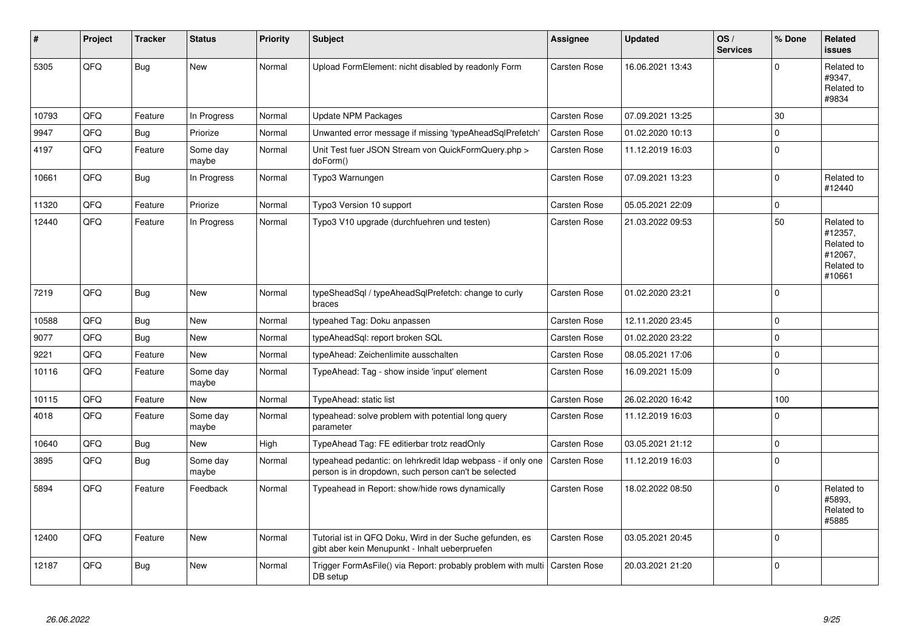| #     | Project | <b>Tracker</b> | <b>Status</b>     | <b>Priority</b> | <b>Subject</b>                                                                                                       | Assignee     | <b>Updated</b>   | OS/<br><b>Services</b> | % Done      | Related<br><b>issues</b>                                               |
|-------|---------|----------------|-------------------|-----------------|----------------------------------------------------------------------------------------------------------------------|--------------|------------------|------------------------|-------------|------------------------------------------------------------------------|
| 5305  | QFQ     | <b>Bug</b>     | <b>New</b>        | Normal          | Upload FormElement: nicht disabled by readonly Form                                                                  | Carsten Rose | 16.06.2021 13:43 |                        | $\Omega$    | Related to<br>#9347,<br>Related to<br>#9834                            |
| 10793 | QFQ     | Feature        | In Progress       | Normal          | <b>Update NPM Packages</b>                                                                                           | Carsten Rose | 07.09.2021 13:25 |                        | 30          |                                                                        |
| 9947  | QFQ     | <b>Bug</b>     | Priorize          | Normal          | Unwanted error message if missing 'typeAheadSqlPrefetch'                                                             | Carsten Rose | 01.02.2020 10:13 |                        | $\Omega$    |                                                                        |
| 4197  | QFQ     | Feature        | Some day<br>maybe | Normal          | Unit Test fuer JSON Stream von QuickFormQuery.php ><br>doForm()                                                      | Carsten Rose | 11.12.2019 16:03 |                        | $\Omega$    |                                                                        |
| 10661 | QFQ     | <b>Bug</b>     | In Progress       | Normal          | Typo3 Warnungen                                                                                                      | Carsten Rose | 07.09.2021 13:23 |                        | $\Omega$    | Related to<br>#12440                                                   |
| 11320 | QFQ     | Feature        | Priorize          | Normal          | Typo3 Version 10 support                                                                                             | Carsten Rose | 05.05.2021 22:09 |                        | $\mathsf 0$ |                                                                        |
| 12440 | QFQ     | Feature        | In Progress       | Normal          | Typo3 V10 upgrade (durchfuehren und testen)                                                                          | Carsten Rose | 21.03.2022 09:53 |                        | 50          | Related to<br>#12357,<br>Related to<br>#12067,<br>Related to<br>#10661 |
| 7219  | QFQ     | Bug            | <b>New</b>        | Normal          | typeSheadSql / typeAheadSqlPrefetch: change to curly<br>braces                                                       | Carsten Rose | 01.02.2020 23:21 |                        | $\mathbf 0$ |                                                                        |
| 10588 | QFQ     | <b>Bug</b>     | <b>New</b>        | Normal          | typeahed Tag: Doku anpassen                                                                                          | Carsten Rose | 12.11.2020 23:45 |                        | $\Omega$    |                                                                        |
| 9077  | QFQ     | Bug            | <b>New</b>        | Normal          | typeAheadSql: report broken SQL                                                                                      | Carsten Rose | 01.02.2020 23:22 |                        | $\mathbf 0$ |                                                                        |
| 9221  | QFQ     | Feature        | <b>New</b>        | Normal          | typeAhead: Zeichenlimite ausschalten                                                                                 | Carsten Rose | 08.05.2021 17:06 |                        | $\mathsf 0$ |                                                                        |
| 10116 | QFQ     | Feature        | Some day<br>maybe | Normal          | TypeAhead: Tag - show inside 'input' element                                                                         | Carsten Rose | 16.09.2021 15:09 |                        | $\Omega$    |                                                                        |
| 10115 | QFQ     | Feature        | New               | Normal          | TypeAhead: static list                                                                                               | Carsten Rose | 26.02.2020 16:42 |                        | 100         |                                                                        |
| 4018  | QFQ     | Feature        | Some day<br>maybe | Normal          | typeahead: solve problem with potential long query<br>parameter                                                      | Carsten Rose | 11.12.2019 16:03 |                        | $\Omega$    |                                                                        |
| 10640 | QFQ     | Bug            | <b>New</b>        | High            | TypeAhead Tag: FE editierbar trotz readOnly                                                                          | Carsten Rose | 03.05.2021 21:12 |                        | $\mathbf 0$ |                                                                        |
| 3895  | QFQ     | <b>Bug</b>     | Some day<br>maybe | Normal          | typeahead pedantic: on lehrkredit Idap webpass - if only one<br>person is in dropdown, such person can't be selected | Carsten Rose | 11.12.2019 16:03 |                        | $\Omega$    |                                                                        |
| 5894  | QFQ     | Feature        | Feedback          | Normal          | Typeahead in Report: show/hide rows dynamically                                                                      | Carsten Rose | 18.02.2022 08:50 |                        | $\Omega$    | Related to<br>#5893,<br>Related to<br>#5885                            |
| 12400 | QFQ     | Feature        | New               | Normal          | Tutorial ist in QFQ Doku, Wird in der Suche gefunden, es<br>gibt aber kein Menupunkt - Inhalt ueberpruefen           | Carsten Rose | 03.05.2021 20:45 |                        | $\mathbf 0$ |                                                                        |
| 12187 | QFQ     | <b>Bug</b>     | <b>New</b>        | Normal          | Trigger FormAsFile() via Report: probably problem with multi<br>DB setup                                             | Carsten Rose | 20.03.2021 21:20 |                        | $\Omega$    |                                                                        |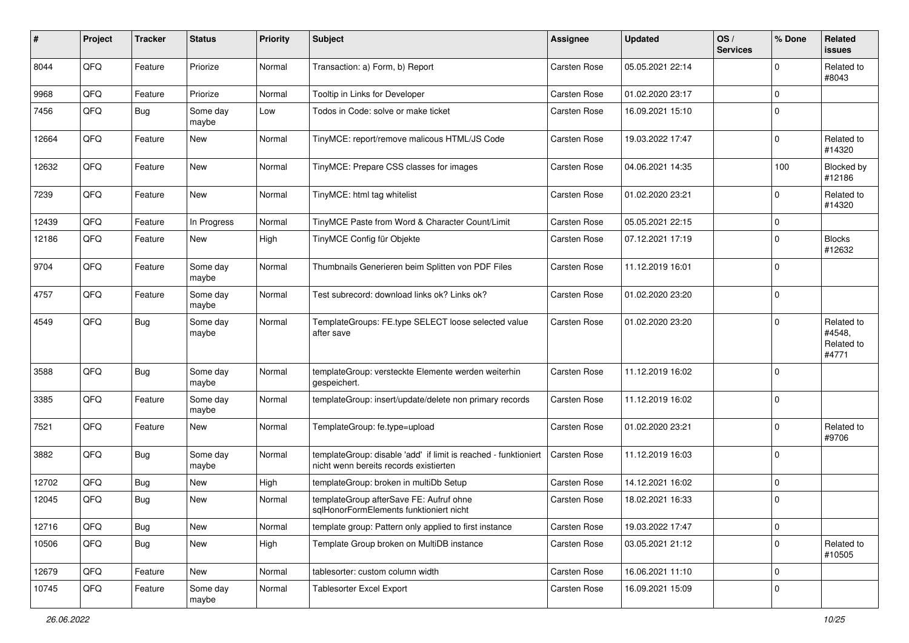| #     | Project | <b>Tracker</b> | <b>Status</b>     | <b>Priority</b> | <b>Subject</b>                                                                                            | <b>Assignee</b>     | <b>Updated</b>   | OS/<br><b>Services</b> | % Done      | Related<br><b>issues</b>                    |
|-------|---------|----------------|-------------------|-----------------|-----------------------------------------------------------------------------------------------------------|---------------------|------------------|------------------------|-------------|---------------------------------------------|
| 8044  | QFQ     | Feature        | Priorize          | Normal          | Transaction: a) Form, b) Report                                                                           | Carsten Rose        | 05.05.2021 22:14 |                        | $\Omega$    | Related to<br>#8043                         |
| 9968  | QFQ     | Feature        | Priorize          | Normal          | Tooltip in Links for Developer                                                                            | <b>Carsten Rose</b> | 01.02.2020 23:17 |                        | $\mathbf 0$ |                                             |
| 7456  | QFQ     | Bug            | Some day<br>maybe | Low             | Todos in Code: solve or make ticket                                                                       | Carsten Rose        | 16.09.2021 15:10 |                        | $\Omega$    |                                             |
| 12664 | QFQ     | Feature        | <b>New</b>        | Normal          | TinyMCE: report/remove malicous HTML/JS Code                                                              | Carsten Rose        | 19.03.2022 17:47 |                        | $\mathbf 0$ | Related to<br>#14320                        |
| 12632 | QFQ     | Feature        | New               | Normal          | TinyMCE: Prepare CSS classes for images                                                                   | Carsten Rose        | 04.06.2021 14:35 |                        | 100         | Blocked by<br>#12186                        |
| 7239  | QFQ     | Feature        | <b>New</b>        | Normal          | TinyMCE: html tag whitelist                                                                               | Carsten Rose        | 01.02.2020 23:21 |                        | $\Omega$    | Related to<br>#14320                        |
| 12439 | QFQ     | Feature        | In Progress       | Normal          | TinyMCE Paste from Word & Character Count/Limit                                                           | <b>Carsten Rose</b> | 05.05.2021 22:15 |                        | $\mathbf 0$ |                                             |
| 12186 | QFQ     | Feature        | New               | High            | TinyMCE Config für Objekte                                                                                | Carsten Rose        | 07.12.2021 17:19 |                        | $\Omega$    | <b>Blocks</b><br>#12632                     |
| 9704  | QFQ     | Feature        | Some day<br>maybe | Normal          | Thumbnails Generieren beim Splitten von PDF Files                                                         | Carsten Rose        | 11.12.2019 16:01 |                        | $\Omega$    |                                             |
| 4757  | QFQ     | Feature        | Some day<br>maybe | Normal          | Test subrecord: download links ok? Links ok?                                                              | Carsten Rose        | 01.02.2020 23:20 |                        | $\Omega$    |                                             |
| 4549  | QFQ     | Bug            | Some day<br>maybe | Normal          | TemplateGroups: FE.type SELECT loose selected value<br>after save                                         | Carsten Rose        | 01.02.2020 23:20 |                        | $\Omega$    | Related to<br>#4548,<br>Related to<br>#4771 |
| 3588  | QFQ     | <b>Bug</b>     | Some day<br>maybe | Normal          | templateGroup: versteckte Elemente werden weiterhin<br>gespeichert.                                       | <b>Carsten Rose</b> | 11.12.2019 16:02 |                        | $\Omega$    |                                             |
| 3385  | QFQ     | Feature        | Some day<br>maybe | Normal          | templateGroup: insert/update/delete non primary records                                                   | Carsten Rose        | 11.12.2019 16:02 |                        | $\Omega$    |                                             |
| 7521  | QFQ     | Feature        | <b>New</b>        | Normal          | TemplateGroup: fe.type=upload                                                                             | Carsten Rose        | 01.02.2020 23:21 |                        | $\Omega$    | Related to<br>#9706                         |
| 3882  | QFQ     | Bug            | Some day<br>maybe | Normal          | templateGroup: disable 'add' if limit is reached - funktioniert<br>nicht wenn bereits records existierten | Carsten Rose        | 11.12.2019 16:03 |                        | $\mathbf 0$ |                                             |
| 12702 | QFQ     | <b>Bug</b>     | <b>New</b>        | High            | templateGroup: broken in multiDb Setup                                                                    | <b>Carsten Rose</b> | 14.12.2021 16:02 |                        | $\mathbf 0$ |                                             |
| 12045 | QFQ     | <b>Bug</b>     | New               | Normal          | templateGroup afterSave FE: Aufruf ohne<br>sqlHonorFormElements funktioniert nicht                        | Carsten Rose        | 18.02.2021 16:33 |                        | 0           |                                             |
| 12716 | QFQ     | Bug            | New               | Normal          | template group: Pattern only applied to first instance                                                    | Carsten Rose        | 19.03.2022 17:47 |                        | 0           |                                             |
| 10506 | QFQ     | <b>Bug</b>     | New               | High            | Template Group broken on MultiDB instance                                                                 | Carsten Rose        | 03.05.2021 21:12 |                        | 0           | Related to<br>#10505                        |
| 12679 | QFQ     | Feature        | New               | Normal          | tablesorter: custom column width                                                                          | Carsten Rose        | 16.06.2021 11:10 |                        | 0           |                                             |
| 10745 | QFQ     | Feature        | Some day<br>maybe | Normal          | Tablesorter Excel Export                                                                                  | Carsten Rose        | 16.09.2021 15:09 |                        | 0           |                                             |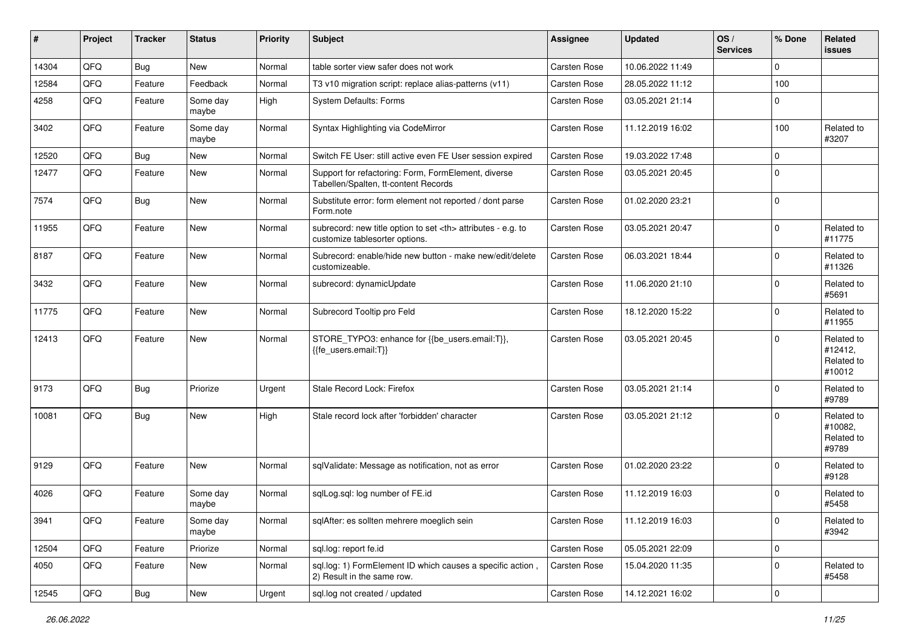| ∦     | Project | <b>Tracker</b> | <b>Status</b>     | <b>Priority</b> | Subject                                                                                              | <b>Assignee</b>                                        | <b>Updated</b>   | OS/<br><b>Services</b> | % Done      | Related<br>issues                             |                      |
|-------|---------|----------------|-------------------|-----------------|------------------------------------------------------------------------------------------------------|--------------------------------------------------------|------------------|------------------------|-------------|-----------------------------------------------|----------------------|
| 14304 | QFQ     | Bug            | <b>New</b>        | Normal          | table sorter view safer does not work                                                                | Carsten Rose                                           | 10.06.2022 11:49 |                        | $\Omega$    |                                               |                      |
| 12584 | QFQ     | Feature        | Feedback          | Normal          | T3 v10 migration script: replace alias-patterns (v11)                                                | Carsten Rose                                           | 28.05.2022 11:12 |                        | 100         |                                               |                      |
| 4258  | QFQ     | Feature        | Some day<br>maybe | High            | <b>System Defaults: Forms</b>                                                                        | Carsten Rose                                           | 03.05.2021 21:14 |                        | $\Omega$    |                                               |                      |
| 3402  | QFQ     | Feature        | Some day<br>maybe | Normal          | Syntax Highlighting via CodeMirror                                                                   | Carsten Rose                                           | 11.12.2019 16:02 |                        | 100         | Related to<br>#3207                           |                      |
| 12520 | QFQ     | <b>Bug</b>     | <b>New</b>        | Normal          | Switch FE User: still active even FE User session expired                                            | <b>Carsten Rose</b>                                    | 19.03.2022 17:48 |                        | $\mathbf 0$ |                                               |                      |
| 12477 | QFQ     | Feature        | New               | Normal          | Support for refactoring: Form, FormElement, diverse<br>Tabellen/Spalten, tt-content Records          | Carsten Rose                                           | 03.05.2021 20:45 |                        | $\Omega$    |                                               |                      |
| 7574  | QFQ     | Bug            | New               | Normal          | Substitute error: form element not reported / dont parse<br>Form.note                                | Carsten Rose                                           | 01.02.2020 23:21 |                        | $\mathbf 0$ |                                               |                      |
| 11955 | QFQ     | Feature        | <b>New</b>        | Normal          | subrecord: new title option to set <th> attributes - e.g. to<br/>customize tablesorter options.</th> | attributes - e.g. to<br>customize tablesorter options. | Carsten Rose     | 03.05.2021 20:47       |             | $\Omega$                                      | Related to<br>#11775 |
| 8187  | QFQ     | Feature        | <b>New</b>        | Normal          | Subrecord: enable/hide new button - make new/edit/delete<br>customizeable.                           | Carsten Rose                                           | 06.03.2021 18:44 |                        | $\Omega$    | Related to<br>#11326                          |                      |
| 3432  | QFQ     | Feature        | New               | Normal          | subrecord: dynamicUpdate                                                                             | Carsten Rose                                           | 11.06.2020 21:10 |                        | $\Omega$    | Related to<br>#5691                           |                      |
| 11775 | QFQ     | Feature        | <b>New</b>        | Normal          | Subrecord Tooltip pro Feld                                                                           | <b>Carsten Rose</b>                                    | 18.12.2020 15:22 |                        | $\Omega$    | Related to<br>#11955                          |                      |
| 12413 | QFQ     | Feature        | <b>New</b>        | Normal          | STORE_TYPO3: enhance for {{be_users.email:T}},<br>{{fe users.email:T}}                               | <b>Carsten Rose</b>                                    | 03.05.2021 20:45 |                        | $\Omega$    | Related to<br>#12412,<br>Related to<br>#10012 |                      |
| 9173  | QFQ     | <b>Bug</b>     | Priorize          | Urgent          | Stale Record Lock: Firefox                                                                           | <b>Carsten Rose</b>                                    | 03.05.2021 21:14 |                        | $\mathbf 0$ | Related to<br>#9789                           |                      |
| 10081 | QFQ     | <b>Bug</b>     | <b>New</b>        | High            | Stale record lock after 'forbidden' character                                                        | <b>Carsten Rose</b>                                    | 03.05.2021 21:12 |                        | $\Omega$    | Related to<br>#10082,<br>Related to<br>#9789  |                      |
| 9129  | QFQ     | Feature        | <b>New</b>        | Normal          | sqlValidate: Message as notification, not as error                                                   | <b>Carsten Rose</b>                                    | 01.02.2020 23:22 |                        | $\Omega$    | Related to<br>#9128                           |                      |
| 4026  | QFQ     | Feature        | Some day<br>maybe | Normal          | sqlLog.sql: log number of FE.id                                                                      | <b>Carsten Rose</b>                                    | 11.12.2019 16:03 |                        | $\Omega$    | Related to<br>#5458                           |                      |
| 3941  | QFQ     | Feature        | Some day<br>maybe | Normal          | sqlAfter: es sollten mehrere moeglich sein                                                           | Carsten Rose                                           | 11.12.2019 16:03 |                        | 0           | Related to<br>#3942                           |                      |
| 12504 | QFQ     | Feature        | Priorize          | Normal          | sql.log: report fe.id                                                                                | Carsten Rose                                           | 05.05.2021 22:09 |                        | 0           |                                               |                      |
| 4050  | QFQ     | Feature        | New               | Normal          | sql.log: 1) FormElement ID which causes a specific action,<br>2) Result in the same row.             | Carsten Rose                                           | 15.04.2020 11:35 |                        | 0           | Related to<br>#5458                           |                      |
| 12545 | QFG     | <b>Bug</b>     | New               | Urgent          | sql.log not created / updated                                                                        | Carsten Rose                                           | 14.12.2021 16:02 |                        | 0           |                                               |                      |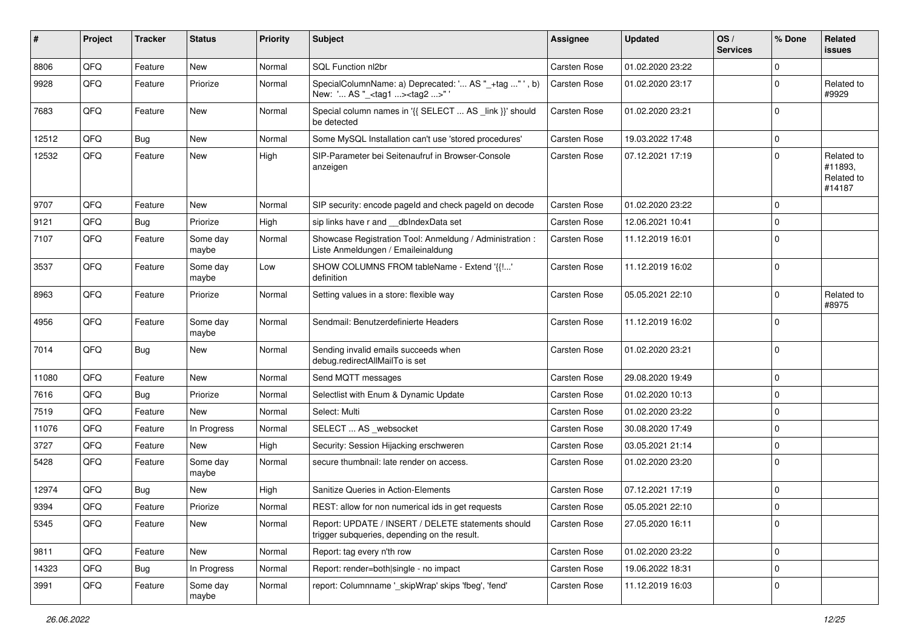| #     | Project | <b>Tracker</b> | <b>Status</b>     | <b>Priority</b> | Subject                                                                                            | <b>Assignee</b>     | <b>Updated</b>   | OS/<br><b>Services</b> | % Done      | Related<br>issues                             |
|-------|---------|----------------|-------------------|-----------------|----------------------------------------------------------------------------------------------------|---------------------|------------------|------------------------|-------------|-----------------------------------------------|
| 8806  | QFQ     | Feature        | <b>New</b>        | Normal          | SQL Function nl2br                                                                                 | Carsten Rose        | 01.02.2020 23:22 |                        | $\mathbf 0$ |                                               |
| 9928  | QFQ     | Feature        | Priorize          | Normal          | SpecialColumnName: a) Deprecated: ' AS "_+tag " ', b)<br>New: ' AS "_ <tag1><tag2>"'</tag2></tag1> | Carsten Rose        | 01.02.2020 23:17 |                        | $\mathbf 0$ | Related to<br>#9929                           |
| 7683  | QFQ     | Feature        | New               | Normal          | Special column names in '{{ SELECT  AS _link }}' should<br>be detected                             | <b>Carsten Rose</b> | 01.02.2020 23:21 |                        | $\Omega$    |                                               |
| 12512 | QFQ     | Bug            | <b>New</b>        | Normal          | Some MySQL Installation can't use 'stored procedures'                                              | Carsten Rose        | 19.03.2022 17:48 |                        | 0           |                                               |
| 12532 | QFQ     | Feature        | <b>New</b>        | High            | SIP-Parameter bei Seitenaufruf in Browser-Console<br>anzeigen                                      | Carsten Rose        | 07.12.2021 17:19 |                        | $\mathbf 0$ | Related to<br>#11893,<br>Related to<br>#14187 |
| 9707  | QFQ     | Feature        | <b>New</b>        | Normal          | SIP security: encode pageld and check pageld on decode                                             | Carsten Rose        | 01.02.2020 23:22 |                        | $\Omega$    |                                               |
| 9121  | QFQ     | Bug            | Priorize          | High            | sip links have r and __dbIndexData set                                                             | Carsten Rose        | 12.06.2021 10:41 |                        | $\mathbf 0$ |                                               |
| 7107  | QFQ     | Feature        | Some day<br>maybe | Normal          | Showcase Registration Tool: Anmeldung / Administration :<br>Liste Anmeldungen / Emaileinaldung     | Carsten Rose        | 11.12.2019 16:01 |                        | $\Omega$    |                                               |
| 3537  | QFQ     | Feature        | Some day<br>maybe | Low             | SHOW COLUMNS FROM tableName - Extend '{{!'<br>definition                                           | <b>Carsten Rose</b> | 11.12.2019 16:02 |                        | $\mathbf 0$ |                                               |
| 8963  | QFQ     | Feature        | Priorize          | Normal          | Setting values in a store: flexible way                                                            | Carsten Rose        | 05.05.2021 22:10 |                        | $\Omega$    | Related to<br>#8975                           |
| 4956  | QFQ     | Feature        | Some day<br>maybe | Normal          | Sendmail: Benutzerdefinierte Headers                                                               | Carsten Rose        | 11.12.2019 16:02 |                        | $\Omega$    |                                               |
| 7014  | QFQ     | Bug            | <b>New</b>        | Normal          | Sending invalid emails succeeds when<br>debug.redirectAllMailTo is set                             | Carsten Rose        | 01.02.2020 23:21 |                        | $\mathbf 0$ |                                               |
| 11080 | QFQ     | Feature        | <b>New</b>        | Normal          | Send MQTT messages                                                                                 | <b>Carsten Rose</b> | 29.08.2020 19:49 |                        | $\mathbf 0$ |                                               |
| 7616  | QFQ     | Bug            | Priorize          | Normal          | Selectlist with Enum & Dynamic Update                                                              | Carsten Rose        | 01.02.2020 10:13 |                        | $\mathbf 0$ |                                               |
| 7519  | QFQ     | Feature        | New               | Normal          | Select: Multi                                                                                      | Carsten Rose        | 01.02.2020 23:22 |                        | $\mathbf 0$ |                                               |
| 11076 | QFQ     | Feature        | In Progress       | Normal          | SELECT  AS _websocket                                                                              | <b>Carsten Rose</b> | 30.08.2020 17:49 |                        | $\mathbf 0$ |                                               |
| 3727  | QFQ     | Feature        | New               | High            | Security: Session Hijacking erschweren                                                             | Carsten Rose        | 03.05.2021 21:14 |                        | $\mathbf 0$ |                                               |
| 5428  | QFQ     | Feature        | Some day<br>maybe | Normal          | secure thumbnail: late render on access.                                                           | Carsten Rose        | 01.02.2020 23:20 |                        | $\Omega$    |                                               |
| 12974 | QFQ     | <b>Bug</b>     | <b>New</b>        | High            | Sanitize Queries in Action-Elements                                                                | Carsten Rose        | 07.12.2021 17:19 |                        | $\mathbf 0$ |                                               |
| 9394  | QFQ     | Feature        | Priorize          | Normal          | REST: allow for non numerical ids in get requests                                                  | Carsten Rose        | 05.05.2021 22:10 |                        | 0           |                                               |
| 5345  | QFQ     | Feature        | New               | Normal          | Report: UPDATE / INSERT / DELETE statements should<br>trigger subqueries, depending on the result. | Carsten Rose        | 27.05.2020 16:11 |                        | 0           |                                               |
| 9811  | QFQ     | Feature        | New               | Normal          | Report: tag every n'th row                                                                         | Carsten Rose        | 01.02.2020 23:22 |                        | $\mathbf 0$ |                                               |
| 14323 | QFQ     | <b>Bug</b>     | In Progress       | Normal          | Report: render=both single - no impact                                                             | Carsten Rose        | 19.06.2022 18:31 |                        | 0           |                                               |
| 3991  | QFQ     | Feature        | Some day<br>maybe | Normal          | report: Columnname '_skipWrap' skips 'fbeg', 'fend'                                                | Carsten Rose        | 11.12.2019 16:03 |                        | 0           |                                               |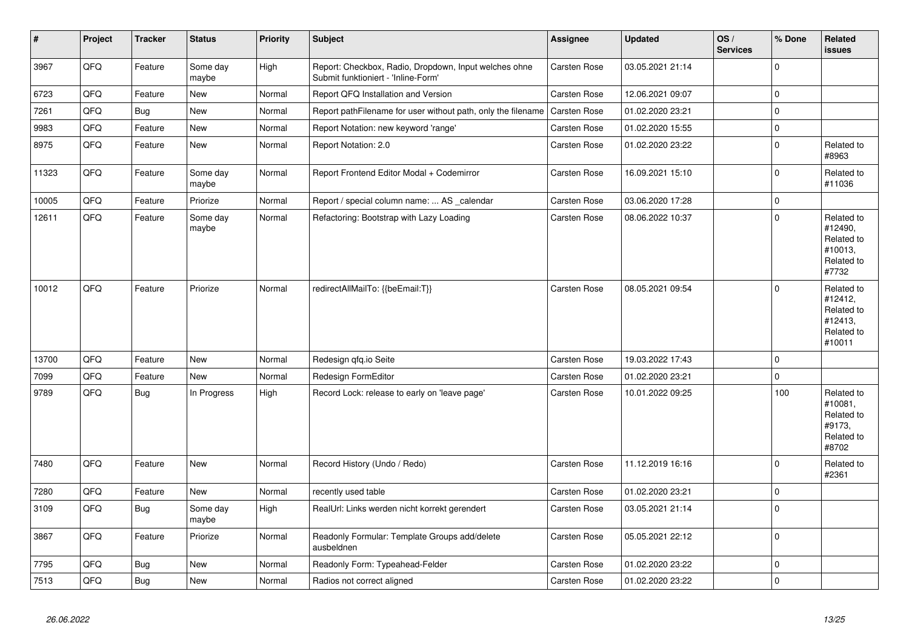| #     | Project | <b>Tracker</b> | <b>Status</b>     | <b>Priority</b> | <b>Subject</b>                                                                               | Assignee     | <b>Updated</b>   | OS/<br><b>Services</b> | % Done              | Related<br><b>issues</b>                                               |
|-------|---------|----------------|-------------------|-----------------|----------------------------------------------------------------------------------------------|--------------|------------------|------------------------|---------------------|------------------------------------------------------------------------|
| 3967  | QFQ     | Feature        | Some day<br>maybe | High            | Report: Checkbox, Radio, Dropdown, Input welches ohne<br>Submit funktioniert - 'Inline-Form' | Carsten Rose | 03.05.2021 21:14 |                        | $\mathbf 0$         |                                                                        |
| 6723  | QFQ     | Feature        | <b>New</b>        | Normal          | Report QFQ Installation and Version                                                          | Carsten Rose | 12.06.2021 09:07 |                        | $\mathbf 0$         |                                                                        |
| 7261  | QFQ     | <b>Bug</b>     | <b>New</b>        | Normal          | Report pathFilename for user without path, only the filename                                 | Carsten Rose | 01.02.2020 23:21 |                        | $\pmb{0}$           |                                                                        |
| 9983  | QFQ     | Feature        | New               | Normal          | Report Notation: new keyword 'range'                                                         | Carsten Rose | 01.02.2020 15:55 |                        | $\pmb{0}$           |                                                                        |
| 8975  | QFQ     | Feature        | New               | Normal          | Report Notation: 2.0                                                                         | Carsten Rose | 01.02.2020 23:22 |                        | $\mathbf 0$         | Related to<br>#8963                                                    |
| 11323 | QFQ     | Feature        | Some day<br>maybe | Normal          | Report Frontend Editor Modal + Codemirror                                                    | Carsten Rose | 16.09.2021 15:10 |                        | $\Omega$            | Related to<br>#11036                                                   |
| 10005 | QFQ     | Feature        | Priorize          | Normal          | Report / special column name:  AS _calendar                                                  | Carsten Rose | 03.06.2020 17:28 |                        | $\mathbf 0$         |                                                                        |
| 12611 | QFQ     | Feature        | Some day<br>maybe | Normal          | Refactoring: Bootstrap with Lazy Loading                                                     | Carsten Rose | 08.06.2022 10:37 |                        | $\mathsf 0$         | Related to<br>#12490,<br>Related to<br>#10013,<br>Related to<br>#7732  |
| 10012 | QFQ     | Feature        | Priorize          | Normal          | redirectAllMailTo: {{beEmail:T}}                                                             | Carsten Rose | 08.05.2021 09:54 |                        | $\Omega$            | Related to<br>#12412,<br>Related to<br>#12413,<br>Related to<br>#10011 |
| 13700 | QFQ     | Feature        | <b>New</b>        | Normal          | Redesign qfq.io Seite                                                                        | Carsten Rose | 19.03.2022 17:43 |                        | $\mathbf 0$         |                                                                        |
| 7099  | QFQ     | Feature        | <b>New</b>        | Normal          | Redesign FormEditor                                                                          | Carsten Rose | 01.02.2020 23:21 |                        | $\mathbf{0}$        |                                                                        |
| 9789  | QFQ     | <b>Bug</b>     | In Progress       | High            | Record Lock: release to early on 'leave page'                                                | Carsten Rose | 10.01.2022 09:25 |                        | 100                 | Related to<br>#10081,<br>Related to<br>#9173,<br>Related to<br>#8702   |
| 7480  | QFQ     | Feature        | <b>New</b>        | Normal          | Record History (Undo / Redo)                                                                 | Carsten Rose | 11.12.2019 16:16 |                        | $\Omega$            | Related to<br>#2361                                                    |
| 7280  | QFQ     | Feature        | <b>New</b>        | Normal          | recently used table                                                                          | Carsten Rose | 01.02.2020 23:21 |                        | $\mathsf{O}\xspace$ |                                                                        |
| 3109  | QFQ     | <b>Bug</b>     | Some day<br>maybe | High            | RealUrl: Links werden nicht korrekt gerendert                                                | Carsten Rose | 03.05.2021 21:14 |                        | $\mathsf 0$         |                                                                        |
| 3867  | QFQ     | Feature        | Priorize          | Normal          | Readonly Formular: Template Groups add/delete<br>ausbeldnen                                  | Carsten Rose | 05.05.2021 22:12 |                        | $\mathbf 0$         |                                                                        |
| 7795  | QFQ     | Bug            | <b>New</b>        | Normal          | Readonly Form: Typeahead-Felder                                                              | Carsten Rose | 01.02.2020 23:22 |                        | $\mathbf 0$         |                                                                        |
| 7513  | QFQ     | <b>Bug</b>     | <b>New</b>        | Normal          | Radios not correct aligned                                                                   | Carsten Rose | 01.02.2020 23:22 |                        | $\mathbf 0$         |                                                                        |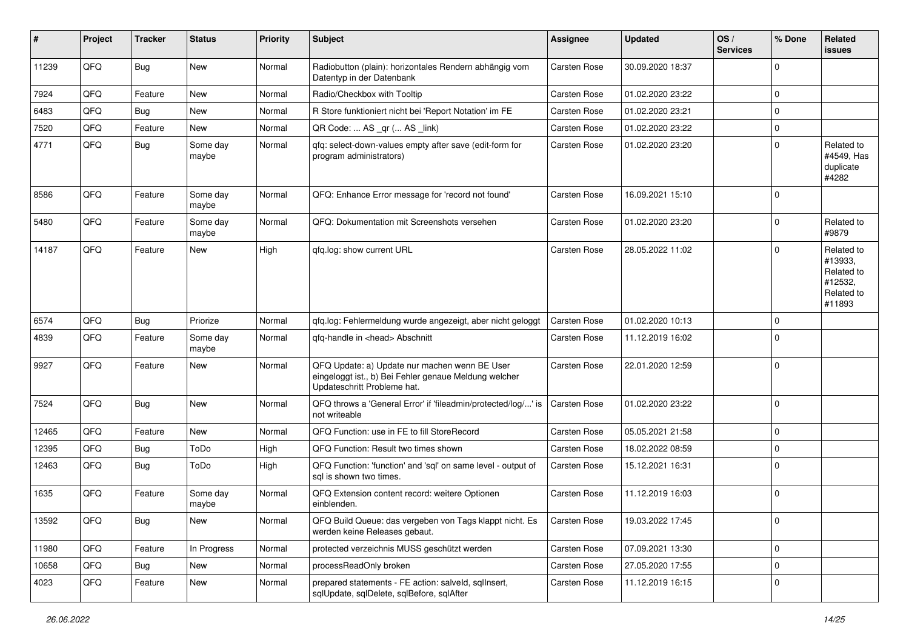| ∦     | Project | <b>Tracker</b> | <b>Status</b>     | <b>Priority</b> | Subject                                                                                                                               | <b>Assignee</b> | <b>Updated</b>   | OS/<br><b>Services</b> | % Done              | Related<br><b>issues</b>                                               |
|-------|---------|----------------|-------------------|-----------------|---------------------------------------------------------------------------------------------------------------------------------------|-----------------|------------------|------------------------|---------------------|------------------------------------------------------------------------|
| 11239 | QFQ     | Bug            | <b>New</b>        | Normal          | Radiobutton (plain): horizontales Rendern abhängig vom<br>Datentyp in der Datenbank                                                   | Carsten Rose    | 30.09.2020 18:37 |                        | $\mathbf 0$         |                                                                        |
| 7924  | QFQ     | Feature        | <b>New</b>        | Normal          | Radio/Checkbox with Tooltip                                                                                                           | Carsten Rose    | 01.02.2020 23:22 |                        | $\mathbf 0$         |                                                                        |
| 6483  | QFQ     | Bug            | New               | Normal          | R Store funktioniert nicht bei 'Report Notation' im FE                                                                                | Carsten Rose    | 01.02.2020 23:21 |                        | $\mathbf 0$         |                                                                        |
| 7520  | QFQ     | Feature        | <b>New</b>        | Normal          | QR Code:  AS _qr ( AS _link)                                                                                                          | Carsten Rose    | 01.02.2020 23:22 |                        | $\mathbf 0$         |                                                                        |
| 4771  | QFQ     | Bug            | Some day<br>maybe | Normal          | qfq: select-down-values empty after save (edit-form for<br>program administrators)                                                    | Carsten Rose    | 01.02.2020 23:20 |                        | $\mathbf 0$         | Related to<br>#4549, Has<br>duplicate<br>#4282                         |
| 8586  | QFQ     | Feature        | Some day<br>maybe | Normal          | QFQ: Enhance Error message for 'record not found'                                                                                     | Carsten Rose    | 16.09.2021 15:10 |                        | $\mathbf 0$         |                                                                        |
| 5480  | QFQ     | Feature        | Some day<br>maybe | Normal          | QFQ: Dokumentation mit Screenshots versehen                                                                                           | Carsten Rose    | 01.02.2020 23:20 |                        | $\mathbf 0$         | Related to<br>#9879                                                    |
| 14187 | QFQ     | Feature        | New               | High            | gfg.log: show current URL                                                                                                             | Carsten Rose    | 28.05.2022 11:02 |                        | $\mathbf 0$         | Related to<br>#13933,<br>Related to<br>#12532,<br>Related to<br>#11893 |
| 6574  | QFQ     | Bug            | Priorize          | Normal          | qfq.log: Fehlermeldung wurde angezeigt, aber nicht geloggt                                                                            | Carsten Rose    | 01.02.2020 10:13 |                        | $\mathbf 0$         |                                                                        |
| 4839  | QFQ     | Feature        | Some day<br>maybe | Normal          | qfq-handle in <head> Abschnitt</head>                                                                                                 | Carsten Rose    | 11.12.2019 16:02 |                        | $\mathbf 0$         |                                                                        |
| 9927  | QFQ     | Feature        | <b>New</b>        | Normal          | QFQ Update: a) Update nur machen wenn BE User<br>eingeloggt ist., b) Bei Fehler genaue Meldung welcher<br>Updateschritt Probleme hat. | Carsten Rose    | 22.01.2020 12:59 |                        | $\mathbf 0$         |                                                                        |
| 7524  | QFQ     | Bug            | <b>New</b>        | Normal          | QFQ throws a 'General Error' if 'fileadmin/protected/log/' is<br>not writeable                                                        | Carsten Rose    | 01.02.2020 23:22 |                        | $\mathbf 0$         |                                                                        |
| 12465 | QFQ     | Feature        | <b>New</b>        | Normal          | QFQ Function: use in FE to fill StoreRecord                                                                                           | Carsten Rose    | 05.05.2021 21:58 |                        | $\mathbf 0$         |                                                                        |
| 12395 | QFQ     | <b>Bug</b>     | ToDo              | High            | QFQ Function: Result two times shown                                                                                                  | Carsten Rose    | 18.02.2022 08:59 |                        | $\mathbf 0$         |                                                                        |
| 12463 | QFQ     | Bug            | ToDo              | High            | QFQ Function: 'function' and 'sql' on same level - output of<br>sal is shown two times.                                               | Carsten Rose    | 15.12.2021 16:31 |                        | $\mathbf 0$         |                                                                        |
| 1635  | QFQ     | Feature        | Some day<br>maybe | Normal          | QFQ Extension content record: weitere Optionen<br>einblenden.                                                                         | Carsten Rose    | 11.12.2019 16:03 |                        | $\mathbf 0$         |                                                                        |
| 13592 | QFQ     | <b>Bug</b>     | New               | Normal          | QFQ Build Queue: das vergeben von Tags klappt nicht. Es<br>werden keine Releases gebaut.                                              | Carsten Rose    | 19.03.2022 17:45 |                        | $\mathbf 0$         |                                                                        |
| 11980 | QFQ     | Feature        | In Progress       | Normal          | protected verzeichnis MUSS geschützt werden                                                                                           | Carsten Rose    | 07.09.2021 13:30 |                        | $\mathsf{O}\xspace$ |                                                                        |
| 10658 | QFQ     | Bug            | New               | Normal          | processReadOnly broken                                                                                                                | Carsten Rose    | 27.05.2020 17:55 |                        | $\mathbf 0$         |                                                                        |
| 4023  | QFQ     | Feature        | New               | Normal          | prepared statements - FE action: salveld, sqllnsert,<br>sqlUpdate, sqlDelete, sqlBefore, sqlAfter                                     | Carsten Rose    | 11.12.2019 16:15 |                        | 0                   |                                                                        |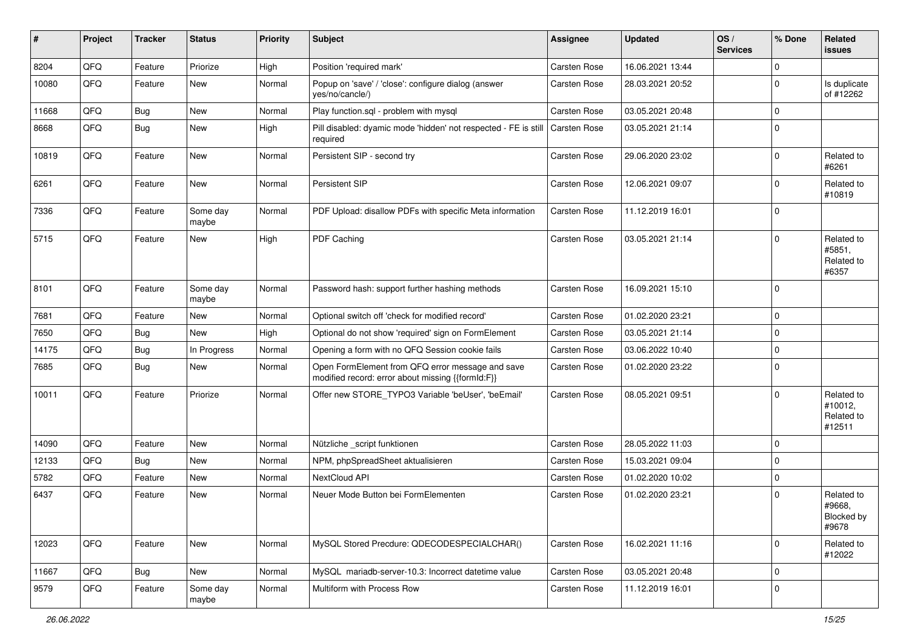| #     | Project | <b>Tracker</b> | <b>Status</b>     | <b>Priority</b> | Subject                                                                                               | Assignee     | <b>Updated</b>   | OS/<br><b>Services</b> | % Done      | Related<br><b>issues</b>                      |
|-------|---------|----------------|-------------------|-----------------|-------------------------------------------------------------------------------------------------------|--------------|------------------|------------------------|-------------|-----------------------------------------------|
| 8204  | QFQ     | Feature        | Priorize          | High            | Position 'required mark'                                                                              | Carsten Rose | 16.06.2021 13:44 |                        | $\mathbf 0$ |                                               |
| 10080 | QFQ     | Feature        | <b>New</b>        | Normal          | Popup on 'save' / 'close': configure dialog (answer<br>yes/no/cancle/)                                | Carsten Rose | 28.03.2021 20:52 |                        | $\mathbf 0$ | Is duplicate<br>of #12262                     |
| 11668 | QFQ     | <b>Bug</b>     | New               | Normal          | Play function.sql - problem with mysql                                                                | Carsten Rose | 03.05.2021 20:48 |                        | $\pmb{0}$   |                                               |
| 8668  | QFQ     | Bug            | <b>New</b>        | High            | Pill disabled: dyamic mode 'hidden' not respected - FE is still<br>required                           | Carsten Rose | 03.05.2021 21:14 |                        | $\mathbf 0$ |                                               |
| 10819 | QFQ     | Feature        | <b>New</b>        | Normal          | Persistent SIP - second try                                                                           | Carsten Rose | 29.06.2020 23:02 |                        | $\mathbf 0$ | Related to<br>#6261                           |
| 6261  | QFQ     | Feature        | <b>New</b>        | Normal          | Persistent SIP                                                                                        | Carsten Rose | 12.06.2021 09:07 |                        | $\mathbf 0$ | Related to<br>#10819                          |
| 7336  | QFQ     | Feature        | Some day<br>maybe | Normal          | PDF Upload: disallow PDFs with specific Meta information                                              | Carsten Rose | 11.12.2019 16:01 |                        | $\mathbf 0$ |                                               |
| 5715  | QFQ     | Feature        | New               | High            | PDF Caching                                                                                           | Carsten Rose | 03.05.2021 21:14 |                        | $\mathbf 0$ | Related to<br>#5851,<br>Related to<br>#6357   |
| 8101  | QFQ     | Feature        | Some day<br>maybe | Normal          | Password hash: support further hashing methods                                                        | Carsten Rose | 16.09.2021 15:10 |                        | $\mathbf 0$ |                                               |
| 7681  | QFQ     | Feature        | New               | Normal          | Optional switch off 'check for modified record'                                                       | Carsten Rose | 01.02.2020 23:21 |                        | $\mathbf 0$ |                                               |
| 7650  | QFQ     | <b>Bug</b>     | <b>New</b>        | High            | Optional do not show 'required' sign on FormElement                                                   | Carsten Rose | 03.05.2021 21:14 |                        | $\pmb{0}$   |                                               |
| 14175 | QFQ     | <b>Bug</b>     | In Progress       | Normal          | Opening a form with no QFQ Session cookie fails                                                       | Carsten Rose | 03.06.2022 10:40 |                        | $\mathbf 0$ |                                               |
| 7685  | QFQ     | <b>Bug</b>     | <b>New</b>        | Normal          | Open FormElement from QFQ error message and save<br>modified record: error about missing {{formId:F}} | Carsten Rose | 01.02.2020 23:22 |                        | $\mathbf 0$ |                                               |
| 10011 | QFQ     | Feature        | Priorize          | Normal          | Offer new STORE_TYPO3 Variable 'beUser', 'beEmail'                                                    | Carsten Rose | 08.05.2021 09:51 |                        | $\mathbf 0$ | Related to<br>#10012,<br>Related to<br>#12511 |
| 14090 | QFQ     | Feature        | <b>New</b>        | Normal          | Nützliche _script funktionen                                                                          | Carsten Rose | 28.05.2022 11:03 |                        | $\mathbf 0$ |                                               |
| 12133 | QFQ     | Bug            | New               | Normal          | NPM, phpSpreadSheet aktualisieren                                                                     | Carsten Rose | 15.03.2021 09:04 |                        | $\mathbf 0$ |                                               |
| 5782  | QFQ     | Feature        | New               | Normal          | NextCloud API                                                                                         | Carsten Rose | 01.02.2020 10:02 |                        | $\mathbf 0$ |                                               |
| 6437  | QFQ     | Feature        | New               | Normal          | Neuer Mode Button bei FormElementen                                                                   | Carsten Rose | 01.02.2020 23:21 |                        | $\mathbf 0$ | Related to<br>#9668,<br>Blocked by<br>#9678   |
| 12023 | QFQ     | Feature        | New               | Normal          | MySQL Stored Precdure: QDECODESPECIALCHAR()                                                           | Carsten Rose | 16.02.2021 11:16 |                        | $\mathbf 0$ | Related to<br>#12022                          |
| 11667 | QFQ     | <b>Bug</b>     | New               | Normal          | MySQL mariadb-server-10.3: Incorrect datetime value                                                   | Carsten Rose | 03.05.2021 20:48 |                        | $\mathbf 0$ |                                               |
| 9579  | QFQ     | Feature        | Some day<br>maybe | Normal          | Multiform with Process Row                                                                            | Carsten Rose | 11.12.2019 16:01 |                        | $\pmb{0}$   |                                               |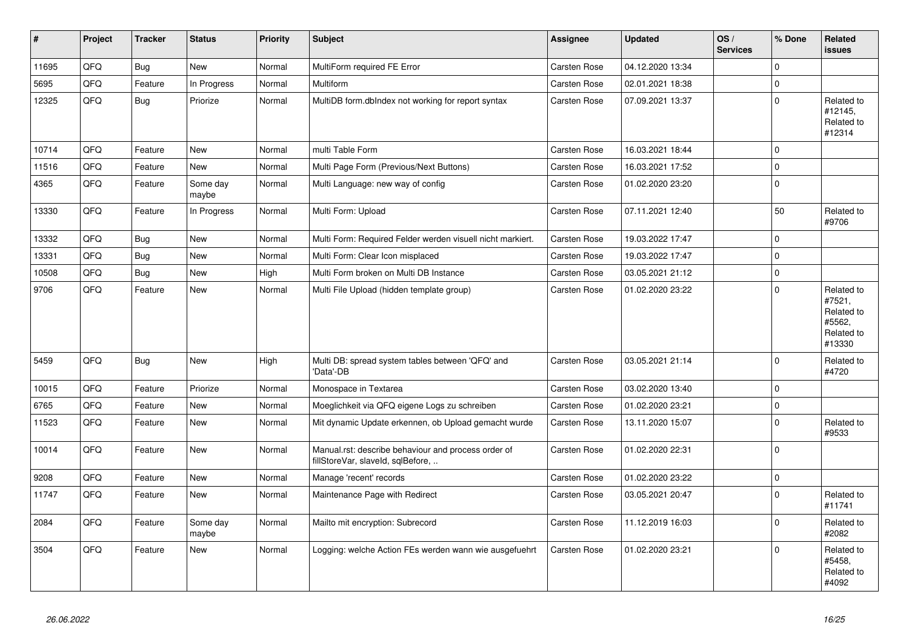| $\pmb{\sharp}$ | <b>Project</b> | <b>Tracker</b> | <b>Status</b>     | <b>Priority</b> | <b>Subject</b>                                                                           | Assignee     | <b>Updated</b>   | OS/<br><b>Services</b> | % Done      | Related<br>issues                                                    |
|----------------|----------------|----------------|-------------------|-----------------|------------------------------------------------------------------------------------------|--------------|------------------|------------------------|-------------|----------------------------------------------------------------------|
| 11695          | QFQ            | <b>Bug</b>     | <b>New</b>        | Normal          | MultiForm required FE Error                                                              | Carsten Rose | 04.12.2020 13:34 |                        | $\Omega$    |                                                                      |
| 5695           | QFQ            | Feature        | In Progress       | Normal          | <b>Multiform</b>                                                                         | Carsten Rose | 02.01.2021 18:38 |                        | $\Omega$    |                                                                      |
| 12325          | QFQ            | <b>Bug</b>     | Priorize          | Normal          | MultiDB form.dblndex not working for report syntax                                       | Carsten Rose | 07.09.2021 13:37 |                        | $\mathbf 0$ | Related to<br>#12145.<br>Related to<br>#12314                        |
| 10714          | QFQ            | Feature        | <b>New</b>        | Normal          | multi Table Form                                                                         | Carsten Rose | 16.03.2021 18:44 |                        | $\Omega$    |                                                                      |
| 11516          | QFQ            | Feature        | New               | Normal          | Multi Page Form (Previous/Next Buttons)                                                  | Carsten Rose | 16.03.2021 17:52 |                        | $\Omega$    |                                                                      |
| 4365           | QFQ            | Feature        | Some day<br>maybe | Normal          | Multi Language: new way of config                                                        | Carsten Rose | 01.02.2020 23:20 |                        | $\mathbf 0$ |                                                                      |
| 13330          | QFQ            | Feature        | In Progress       | Normal          | Multi Form: Upload                                                                       | Carsten Rose | 07.11.2021 12:40 |                        | 50          | Related to<br>#9706                                                  |
| 13332          | QFQ            | Bug            | <b>New</b>        | Normal          | Multi Form: Required Felder werden visuell nicht markiert.                               | Carsten Rose | 19.03.2022 17:47 |                        | $\Omega$    |                                                                      |
| 13331          | QFQ            | <b>Bug</b>     | <b>New</b>        | Normal          | Multi Form: Clear Icon misplaced                                                         | Carsten Rose | 19.03.2022 17:47 |                        | $\Omega$    |                                                                      |
| 10508          | QFQ            | <b>Bug</b>     | <b>New</b>        | High            | Multi Form broken on Multi DB Instance                                                   | Carsten Rose | 03.05.2021 21:12 |                        | $\mathbf 0$ |                                                                      |
| 9706           | QFQ            | Feature        | <b>New</b>        | Normal          | Multi File Upload (hidden template group)                                                | Carsten Rose | 01.02.2020 23:22 |                        | $\Omega$    | Related to<br>#7521,<br>Related to<br>#5562,<br>Related to<br>#13330 |
| 5459           | QFQ            | Bug            | <b>New</b>        | High            | Multi DB: spread system tables between 'QFQ' and<br>'Data'-DB                            | Carsten Rose | 03.05.2021 21:14 |                        | $\Omega$    | Related to<br>#4720                                                  |
| 10015          | QFQ            | Feature        | Priorize          | Normal          | Monospace in Textarea                                                                    | Carsten Rose | 03.02.2020 13:40 |                        | $\Omega$    |                                                                      |
| 6765           | QFQ            | Feature        | <b>New</b>        | Normal          | Moeglichkeit via QFQ eigene Logs zu schreiben                                            | Carsten Rose | 01.02.2020 23:21 |                        | $\mathbf 0$ |                                                                      |
| 11523          | QFQ            | Feature        | <b>New</b>        | Normal          | Mit dynamic Update erkennen, ob Upload gemacht wurde                                     | Carsten Rose | 13.11.2020 15:07 |                        | $\Omega$    | Related to<br>#9533                                                  |
| 10014          | QFQ            | Feature        | <b>New</b>        | Normal          | Manual.rst: describe behaviour and process order of<br>fillStoreVar, slaveId, sqlBefore, | Carsten Rose | 01.02.2020 22:31 |                        | $\Omega$    |                                                                      |
| 9208           | QFQ            | Feature        | <b>New</b>        | Normal          | Manage 'recent' records                                                                  | Carsten Rose | 01.02.2020 23:22 |                        | $\mathbf 0$ |                                                                      |
| 11747          | QFQ            | Feature        | New               | Normal          | Maintenance Page with Redirect                                                           | Carsten Rose | 03.05.2021 20:47 |                        | $\Omega$    | Related to<br>#11741                                                 |
| 2084           | QFQ            | Feature        | Some day<br>maybe | Normal          | Mailto mit encryption: Subrecord                                                         | Carsten Rose | 11.12.2019 16:03 |                        | $\Omega$    | Related to<br>#2082                                                  |
| 3504           | QFQ            | Feature        | New               | Normal          | Logging: welche Action FEs werden wann wie ausgefuehrt                                   | Carsten Rose | 01.02.2020 23:21 |                        | $\mathbf 0$ | Related to<br>#5458.<br>Related to<br>#4092                          |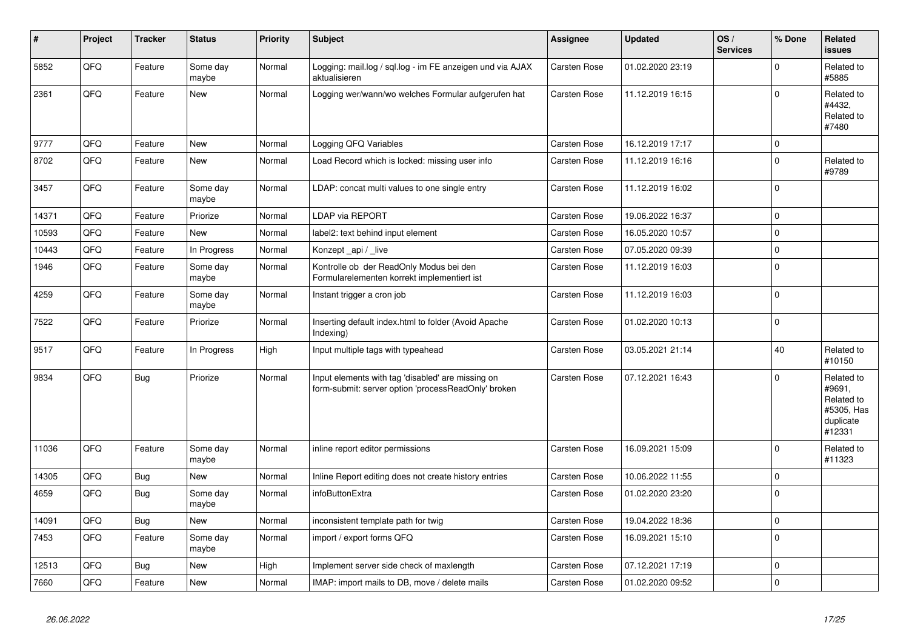| #     | Project | <b>Tracker</b> | <b>Status</b>     | <b>Priority</b> | <b>Subject</b>                                                                                           | Assignee            | <b>Updated</b>   | OS/<br><b>Services</b> | % Done      | Related<br><b>issues</b>                                                |
|-------|---------|----------------|-------------------|-----------------|----------------------------------------------------------------------------------------------------------|---------------------|------------------|------------------------|-------------|-------------------------------------------------------------------------|
| 5852  | QFQ     | Feature        | Some day<br>maybe | Normal          | Logging: mail.log / sql.log - im FE anzeigen und via AJAX<br>aktualisieren                               | Carsten Rose        | 01.02.2020 23:19 |                        | $\Omega$    | Related to<br>#5885                                                     |
| 2361  | QFQ     | Feature        | <b>New</b>        | Normal          | Logging wer/wann/wo welches Formular aufgerufen hat                                                      | Carsten Rose        | 11.12.2019 16:15 |                        | $\Omega$    | Related to<br>#4432,<br>Related to<br>#7480                             |
| 9777  | QFQ     | Feature        | <b>New</b>        | Normal          | Logging QFQ Variables                                                                                    | Carsten Rose        | 16.12.2019 17:17 |                        | $\mathbf 0$ |                                                                         |
| 8702  | QFQ     | Feature        | <b>New</b>        | Normal          | Load Record which is locked: missing user info                                                           | Carsten Rose        | 11.12.2019 16:16 |                        | $\Omega$    | Related to<br>#9789                                                     |
| 3457  | QFQ     | Feature        | Some day<br>maybe | Normal          | LDAP: concat multi values to one single entry                                                            | Carsten Rose        | 11.12.2019 16:02 |                        | $\Omega$    |                                                                         |
| 14371 | QFQ     | Feature        | Priorize          | Normal          | <b>LDAP via REPORT</b>                                                                                   | Carsten Rose        | 19.06.2022 16:37 |                        | $\Omega$    |                                                                         |
| 10593 | QFQ     | Feature        | <b>New</b>        | Normal          | label2: text behind input element                                                                        | Carsten Rose        | 16.05.2020 10:57 |                        | $\Omega$    |                                                                         |
| 10443 | QFQ     | Feature        | In Progress       | Normal          | Konzept_api / _live                                                                                      | Carsten Rose        | 07.05.2020 09:39 |                        | $\mathbf 0$ |                                                                         |
| 1946  | QFQ     | Feature        | Some day<br>maybe | Normal          | Kontrolle ob der ReadOnly Modus bei den<br>Formularelementen korrekt implementiert ist                   | Carsten Rose        | 11.12.2019 16:03 |                        | $\Omega$    |                                                                         |
| 4259  | QFQ     | Feature        | Some day<br>maybe | Normal          | Instant trigger a cron job                                                                               | Carsten Rose        | 11.12.2019 16:03 |                        | $\Omega$    |                                                                         |
| 7522  | QFQ     | Feature        | Priorize          | Normal          | Inserting default index.html to folder (Avoid Apache<br>Indexing)                                        | Carsten Rose        | 01.02.2020 10:13 |                        | $\Omega$    |                                                                         |
| 9517  | QFQ     | Feature        | In Progress       | High            | Input multiple tags with typeahead                                                                       | Carsten Rose        | 03.05.2021 21:14 |                        | 40          | Related to<br>#10150                                                    |
| 9834  | QFQ     | Bug            | Priorize          | Normal          | Input elements with tag 'disabled' are missing on<br>form-submit: server option 'processReadOnly' broken | Carsten Rose        | 07.12.2021 16:43 |                        | $\Omega$    | Related to<br>#9691,<br>Related to<br>#5305, Has<br>duplicate<br>#12331 |
| 11036 | QFQ     | Feature        | Some day<br>maybe | Normal          | inline report editor permissions                                                                         | Carsten Rose        | 16.09.2021 15:09 |                        | $\Omega$    | Related to<br>#11323                                                    |
| 14305 | QFQ     | <b>Bug</b>     | <b>New</b>        | Normal          | Inline Report editing does not create history entries                                                    | <b>Carsten Rose</b> | 10.06.2022 11:55 |                        | $\mathbf 0$ |                                                                         |
| 4659  | QFQ     | <b>Bug</b>     | Some day<br>maybe | Normal          | infoButtonExtra                                                                                          | Carsten Rose        | 01.02.2020 23:20 |                        | $\mathbf 0$ |                                                                         |
| 14091 | QFQ     | <b>Bug</b>     | <b>New</b>        | Normal          | inconsistent template path for twig                                                                      | <b>Carsten Rose</b> | 19.04.2022 18:36 |                        | $\mathbf 0$ |                                                                         |
| 7453  | QFQ     | Feature        | Some day<br>maybe | Normal          | import / export forms QFQ                                                                                | Carsten Rose        | 16.09.2021 15:10 |                        | $\mathbf 0$ |                                                                         |
| 12513 | QFQ     | Bug            | <b>New</b>        | High            | Implement server side check of maxlength                                                                 | Carsten Rose        | 07.12.2021 17:19 |                        | $\mathbf 0$ |                                                                         |
| 7660  | QFQ     | Feature        | New               | Normal          | IMAP: import mails to DB, move / delete mails                                                            | Carsten Rose        | 01.02.2020 09:52 |                        | $\mathbf 0$ |                                                                         |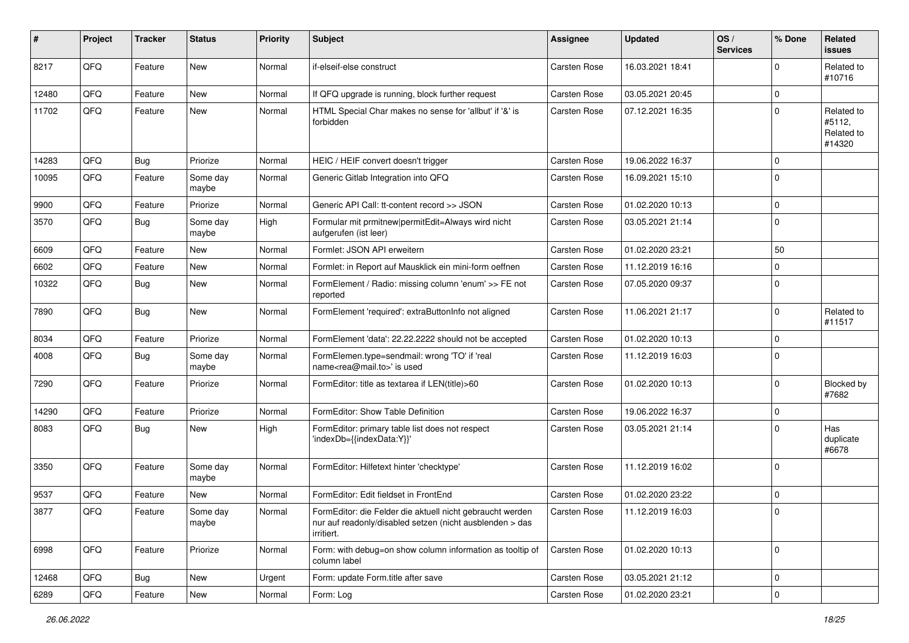| #     | Project | <b>Tracker</b> | <b>Status</b>     | <b>Priority</b> | <b>Subject</b>                                                                                                                      | Assignee     | <b>Updated</b>   | OS/<br><b>Services</b> | % Done      | Related<br>issues                            |
|-------|---------|----------------|-------------------|-----------------|-------------------------------------------------------------------------------------------------------------------------------------|--------------|------------------|------------------------|-------------|----------------------------------------------|
| 8217  | QFQ     | Feature        | <b>New</b>        | Normal          | if-elseif-else construct                                                                                                            | Carsten Rose | 16.03.2021 18:41 |                        | $\Omega$    | Related to<br>#10716                         |
| 12480 | QFQ     | Feature        | <b>New</b>        | Normal          | If QFQ upgrade is running, block further request                                                                                    | Carsten Rose | 03.05.2021 20:45 |                        | 0           |                                              |
| 11702 | QFQ     | Feature        | <b>New</b>        | Normal          | HTML Special Char makes no sense for 'allbut' if '&' is<br>forbidden                                                                | Carsten Rose | 07.12.2021 16:35 |                        | $\Omega$    | Related to<br>#5112,<br>Related to<br>#14320 |
| 14283 | QFQ     | Bug            | Priorize          | Normal          | HEIC / HEIF convert doesn't trigger                                                                                                 | Carsten Rose | 19.06.2022 16:37 |                        | $\Omega$    |                                              |
| 10095 | QFQ     | Feature        | Some day<br>maybe | Normal          | Generic Gitlab Integration into QFQ                                                                                                 | Carsten Rose | 16.09.2021 15:10 |                        | $\Omega$    |                                              |
| 9900  | QFQ     | Feature        | Priorize          | Normal          | Generic API Call: tt-content record >> JSON                                                                                         | Carsten Rose | 01.02.2020 10:13 |                        | $\Omega$    |                                              |
| 3570  | QFQ     | Bug            | Some day<br>maybe | High            | Formular mit prmitnew permitEdit=Always wird nicht<br>aufgerufen (ist leer)                                                         | Carsten Rose | 03.05.2021 21:14 |                        | $\Omega$    |                                              |
| 6609  | QFQ     | Feature        | <b>New</b>        | Normal          | Formlet: JSON API erweitern                                                                                                         | Carsten Rose | 01.02.2020 23:21 |                        | 50          |                                              |
| 6602  | QFQ     | Feature        | <b>New</b>        | Normal          | Formlet: in Report auf Mausklick ein mini-form oeffnen                                                                              | Carsten Rose | 11.12.2019 16:16 |                        | $\mathbf 0$ |                                              |
| 10322 | QFQ     | <b>Bug</b>     | <b>New</b>        | Normal          | FormElement / Radio: missing column 'enum' >> FE not<br>reported                                                                    | Carsten Rose | 07.05.2020 09:37 |                        | $\Omega$    |                                              |
| 7890  | QFQ     | Bug            | <b>New</b>        | Normal          | FormElement 'required': extraButtonInfo not aligned                                                                                 | Carsten Rose | 11.06.2021 21:17 |                        | $\Omega$    | Related to<br>#11517                         |
| 8034  | QFQ     | Feature        | Priorize          | Normal          | FormElement 'data': 22.22.2222 should not be accepted                                                                               | Carsten Rose | 01.02.2020 10:13 |                        | $\Omega$    |                                              |
| 4008  | QFQ     | <b>Bug</b>     | Some day<br>maybe | Normal          | FormElemen.type=sendmail: wrong 'TO' if 'real<br>name <rea@mail.to>' is used</rea@mail.to>                                          | Carsten Rose | 11.12.2019 16:03 |                        | $\Omega$    |                                              |
| 7290  | QFQ     | Feature        | Priorize          | Normal          | FormEditor: title as textarea if LEN(title)>60                                                                                      | Carsten Rose | 01.02.2020 10:13 |                        | $\Omega$    | <b>Blocked by</b><br>#7682                   |
| 14290 | QFQ     | Feature        | Priorize          | Normal          | FormEditor: Show Table Definition                                                                                                   | Carsten Rose | 19.06.2022 16:37 |                        | 0           |                                              |
| 8083  | QFQ     | <b>Bug</b>     | New               | High            | FormEditor: primary table list does not respect<br>'indexDb={{indexData:Y}}'                                                        | Carsten Rose | 03.05.2021 21:14 |                        | $\Omega$    | Has<br>duplicate<br>#6678                    |
| 3350  | QFQ     | Feature        | Some day<br>maybe | Normal          | FormEditor: Hilfetext hinter 'checktype'                                                                                            | Carsten Rose | 11.12.2019 16:02 |                        | $\Omega$    |                                              |
| 9537  | QFQ     | Feature        | <b>New</b>        | Normal          | FormEditor: Edit fieldset in FrontEnd                                                                                               | Carsten Rose | 01.02.2020 23:22 |                        | 0           |                                              |
| 3877  | QFQ     | Feature        | Some day<br>maybe | Normal          | FormEditor: die Felder die aktuell nicht gebraucht werden<br>nur auf readonly/disabled setzen (nicht ausblenden > das<br>irritiert. | Carsten Rose | 11.12.2019 16:03 |                        | $\Omega$    |                                              |
| 6998  | QFQ     | Feature        | Priorize          | Normal          | Form: with debug=on show column information as tooltip of<br>column label                                                           | Carsten Rose | 01.02.2020 10:13 |                        | $\Omega$    |                                              |
| 12468 | QFQ     | <b>Bug</b>     | New               | Urgent          | Form: update Form.title after save                                                                                                  | Carsten Rose | 03.05.2021 21:12 |                        | 0           |                                              |
| 6289  | QFQ     | Feature        | New               | Normal          | Form: Log                                                                                                                           | Carsten Rose | 01.02.2020 23:21 |                        | $\mathbf 0$ |                                              |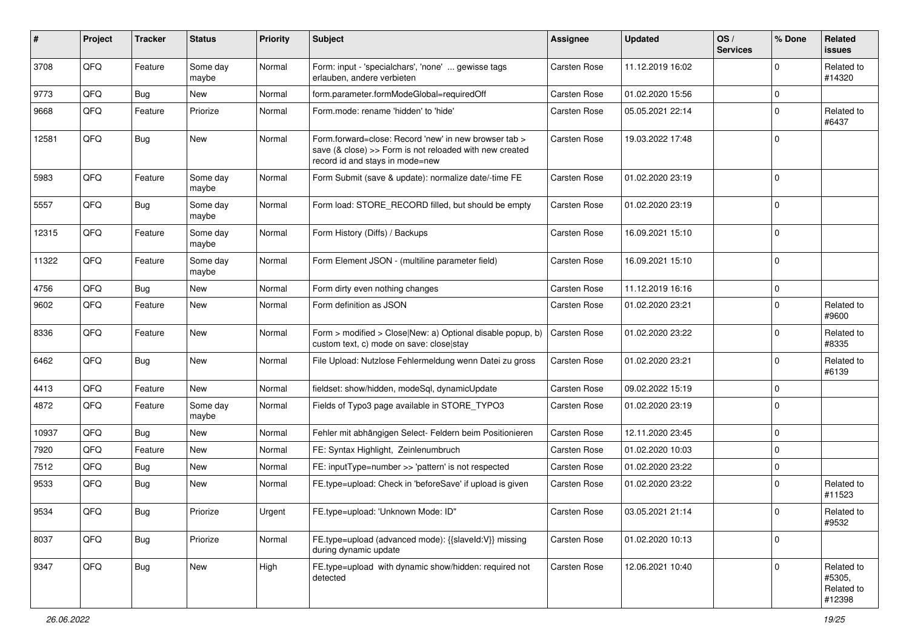| ∦     | Project | <b>Tracker</b> | <b>Status</b>     | <b>Priority</b> | Subject                                                                                                                                             | <b>Assignee</b>     | <b>Updated</b>   | OS/<br><b>Services</b> | % Done      | Related<br>issues                            |
|-------|---------|----------------|-------------------|-----------------|-----------------------------------------------------------------------------------------------------------------------------------------------------|---------------------|------------------|------------------------|-------------|----------------------------------------------|
| 3708  | QFQ     | Feature        | Some day<br>maybe | Normal          | Form: input - 'specialchars', 'none'  gewisse tags<br>erlauben, andere verbieten                                                                    | Carsten Rose        | 11.12.2019 16:02 |                        | $\Omega$    | Related to<br>#14320                         |
| 9773  | QFQ     | <b>Bug</b>     | New               | Normal          | form.parameter.formModeGlobal=requiredOff                                                                                                           | <b>Carsten Rose</b> | 01.02.2020 15:56 |                        | $\mathbf 0$ |                                              |
| 9668  | QFQ     | Feature        | Priorize          | Normal          | Form.mode: rename 'hidden' to 'hide'                                                                                                                | <b>Carsten Rose</b> | 05.05.2021 22:14 |                        | $\Omega$    | Related to<br>#6437                          |
| 12581 | QFQ     | Bug            | <b>New</b>        | Normal          | Form.forward=close: Record 'new' in new browser tab ><br>save (& close) >> Form is not reloaded with new created<br>record id and stays in mode=new | Carsten Rose        | 19.03.2022 17:48 |                        | $\mathbf 0$ |                                              |
| 5983  | QFQ     | Feature        | Some day<br>maybe | Normal          | Form Submit (save & update): normalize date/-time FE                                                                                                | <b>Carsten Rose</b> | 01.02.2020 23:19 |                        | $\Omega$    |                                              |
| 5557  | QFQ     | Bug            | Some day<br>maybe | Normal          | Form load: STORE_RECORD filled, but should be empty                                                                                                 | <b>Carsten Rose</b> | 01.02.2020 23:19 |                        | $\Omega$    |                                              |
| 12315 | QFQ     | Feature        | Some day<br>maybe | Normal          | Form History (Diffs) / Backups                                                                                                                      | Carsten Rose        | 16.09.2021 15:10 |                        | $\Omega$    |                                              |
| 11322 | QFQ     | Feature        | Some day<br>maybe | Normal          | Form Element JSON - (multiline parameter field)                                                                                                     | Carsten Rose        | 16.09.2021 15:10 |                        | $\mathbf 0$ |                                              |
| 4756  | QFQ     | <b>Bug</b>     | <b>New</b>        | Normal          | Form dirty even nothing changes                                                                                                                     | Carsten Rose        | 11.12.2019 16:16 |                        | 0           |                                              |
| 9602  | QFQ     | Feature        | <b>New</b>        | Normal          | Form definition as JSON                                                                                                                             | Carsten Rose        | 01.02.2020 23:21 |                        | $\Omega$    | Related to<br>#9600                          |
| 8336  | QFQ     | Feature        | <b>New</b>        | Normal          | Form > modified > Close New: a) Optional disable popup, b)<br>custom text, c) mode on save: close stay                                              | Carsten Rose        | 01.02.2020 23:22 |                        | $\Omega$    | Related to<br>#8335                          |
| 6462  | QFQ     | Bug            | <b>New</b>        | Normal          | File Upload: Nutzlose Fehlermeldung wenn Datei zu gross                                                                                             | <b>Carsten Rose</b> | 01.02.2020 23:21 |                        | $\Omega$    | Related to<br>#6139                          |
| 4413  | QFQ     | Feature        | <b>New</b>        | Normal          | fieldset: show/hidden, modeSql, dynamicUpdate                                                                                                       | Carsten Rose        | 09.02.2022 15:19 |                        | $\mathbf 0$ |                                              |
| 4872  | QFQ     | Feature        | Some day<br>maybe | Normal          | Fields of Typo3 page available in STORE_TYPO3                                                                                                       | Carsten Rose        | 01.02.2020 23:19 |                        | $\Omega$    |                                              |
| 10937 | QFQ     | <b>Bug</b>     | <b>New</b>        | Normal          | Fehler mit abhängigen Select- Feldern beim Positionieren                                                                                            | Carsten Rose        | 12.11.2020 23:45 |                        | $\Omega$    |                                              |
| 7920  | QFQ     | Feature        | New               | Normal          | FE: Syntax Highlight, Zeinlenumbruch                                                                                                                | Carsten Rose        | 01.02.2020 10:03 |                        | $\mathbf 0$ |                                              |
| 7512  | QFQ     | <b>Bug</b>     | New               | Normal          | FE: inputType=number >> 'pattern' is not respected                                                                                                  | <b>Carsten Rose</b> | 01.02.2020 23:22 |                        | 0           |                                              |
| 9533  | QFQ     | Bug            | New               | Normal          | FE.type=upload: Check in 'beforeSave' if upload is given                                                                                            | <b>Carsten Rose</b> | 01.02.2020 23:22 |                        | $\Omega$    | Related to<br>#11523                         |
| 9534  | QFQ     | Bug            | Priorize          | Urgent          | FE.type=upload: 'Unknown Mode: ID"                                                                                                                  | Carsten Rose        | 03.05.2021 21:14 |                        | $\Omega$    | Related to<br>#9532                          |
| 8037  | QFQ     | Bug            | Priorize          | Normal          | FE.type=upload (advanced mode): {{slaveld: V}} missing<br>during dynamic update                                                                     | Carsten Rose        | 01.02.2020 10:13 |                        | 0           |                                              |
| 9347  | QFQ     | <b>Bug</b>     | New               | High            | FE.type=upload with dynamic show/hidden: required not<br>detected                                                                                   | Carsten Rose        | 12.06.2021 10:40 |                        | $\mathbf 0$ | Related to<br>#5305,<br>Related to<br>#12398 |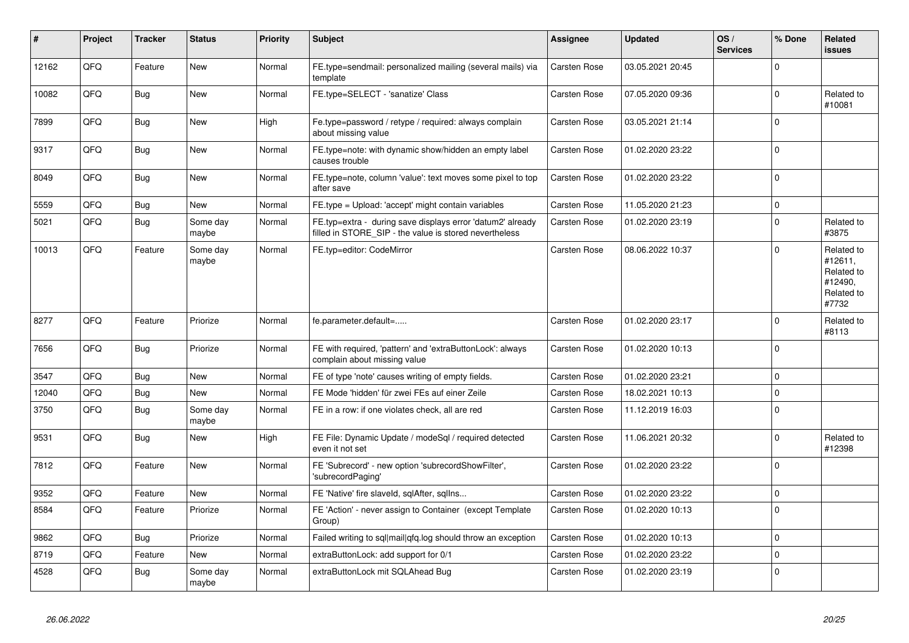| #     | Project | <b>Tracker</b> | <b>Status</b>     | <b>Priority</b> | <b>Subject</b>                                                                                                       | Assignee            | <b>Updated</b>   | OS/<br><b>Services</b> | % Done   | Related<br><b>issues</b>                                              |
|-------|---------|----------------|-------------------|-----------------|----------------------------------------------------------------------------------------------------------------------|---------------------|------------------|------------------------|----------|-----------------------------------------------------------------------|
| 12162 | QFQ     | Feature        | New               | Normal          | FE.type=sendmail: personalized mailing (several mails) via<br>template                                               | Carsten Rose        | 03.05.2021 20:45 |                        | $\Omega$ |                                                                       |
| 10082 | QFQ     | <b>Bug</b>     | <b>New</b>        | Normal          | FE.type=SELECT - 'sanatize' Class                                                                                    | <b>Carsten Rose</b> | 07.05.2020 09:36 |                        | $\Omega$ | Related to<br>#10081                                                  |
| 7899  | QFQ     | <b>Bug</b>     | <b>New</b>        | High            | Fe.type=password / retype / required: always complain<br>about missing value                                         | Carsten Rose        | 03.05.2021 21:14 |                        | $\Omega$ |                                                                       |
| 9317  | QFQ     | <b>Bug</b>     | <b>New</b>        | Normal          | FE.type=note: with dynamic show/hidden an empty label<br>causes trouble                                              | <b>Carsten Rose</b> | 01.02.2020 23:22 |                        | $\Omega$ |                                                                       |
| 8049  | QFQ     | Bug            | <b>New</b>        | Normal          | FE.type=note, column 'value': text moves some pixel to top<br>after save                                             | Carsten Rose        | 01.02.2020 23:22 |                        | $\Omega$ |                                                                       |
| 5559  | QFQ     | Bug            | <b>New</b>        | Normal          | FE.type = Upload: 'accept' might contain variables                                                                   | Carsten Rose        | 11.05.2020 21:23 |                        | $\Omega$ |                                                                       |
| 5021  | QFQ     | Bug            | Some day<br>maybe | Normal          | FE.typ=extra - during save displays error 'datum2' already<br>filled in STORE_SIP - the value is stored nevertheless | Carsten Rose        | 01.02.2020 23:19 |                        | $\Omega$ | Related to<br>#3875                                                   |
| 10013 | QFQ     | Feature        | Some day<br>maybe | Normal          | FE.typ=editor: CodeMirror                                                                                            | Carsten Rose        | 08.06.2022 10:37 |                        | $\Omega$ | Related to<br>#12611,<br>Related to<br>#12490,<br>Related to<br>#7732 |
| 8277  | QFQ     | Feature        | Priorize          | Normal          | fe.parameter.default=                                                                                                | Carsten Rose        | 01.02.2020 23:17 |                        | $\Omega$ | Related to<br>#8113                                                   |
| 7656  | QFQ     | Bug            | Priorize          | Normal          | FE with required, 'pattern' and 'extraButtonLock': always<br>complain about missing value                            | Carsten Rose        | 01.02.2020 10:13 |                        | $\Omega$ |                                                                       |
| 3547  | QFQ     | Bug            | <b>New</b>        | Normal          | FE of type 'note' causes writing of empty fields.                                                                    | Carsten Rose        | 01.02.2020 23:21 |                        | $\Omega$ |                                                                       |
| 12040 | QFQ     | <b>Bug</b>     | <b>New</b>        | Normal          | FE Mode 'hidden' für zwei FEs auf einer Zeile                                                                        | Carsten Rose        | 18.02.2021 10:13 |                        | $\Omega$ |                                                                       |
| 3750  | QFQ     | <b>Bug</b>     | Some day<br>maybe | Normal          | FE in a row: if one violates check, all are red                                                                      | Carsten Rose        | 11.12.2019 16:03 |                        | $\Omega$ |                                                                       |
| 9531  | QFQ     | <b>Bug</b>     | <b>New</b>        | High            | FE File: Dynamic Update / modeSql / required detected<br>even it not set                                             | Carsten Rose        | 11.06.2021 20:32 |                        | $\Omega$ | Related to<br>#12398                                                  |
| 7812  | QFQ     | Feature        | <b>New</b>        | Normal          | FE 'Subrecord' - new option 'subrecordShowFilter',<br>'subrecordPaging'                                              | <b>Carsten Rose</b> | 01.02.2020 23:22 |                        | $\Omega$ |                                                                       |
| 9352  | QFQ     | Feature        | New               | Normal          | FE 'Native' fire slaveld, sqlAfter, sqllns                                                                           | Carsten Rose        | 01.02.2020 23:22 |                        | $\Omega$ |                                                                       |
| 8584  | QFQ     | Feature        | Priorize          | Normal          | FE 'Action' - never assign to Container (except Template<br>Group)                                                   | <b>Carsten Rose</b> | 01.02.2020 10:13 |                        | $\Omega$ |                                                                       |
| 9862  | QFQ     | Bug            | Priorize          | Normal          | Failed writing to sql mail qfq.log should throw an exception                                                         | Carsten Rose        | 01.02.2020 10:13 |                        | 0        |                                                                       |
| 8719  | QFQ     | Feature        | New               | Normal          | extraButtonLock: add support for 0/1                                                                                 | Carsten Rose        | 01.02.2020 23:22 |                        | $\Omega$ |                                                                       |
| 4528  | QFQ     | Bug            | Some day<br>maybe | Normal          | extraButtonLock mit SQLAhead Bug                                                                                     | <b>Carsten Rose</b> | 01.02.2020 23:19 |                        | $\Omega$ |                                                                       |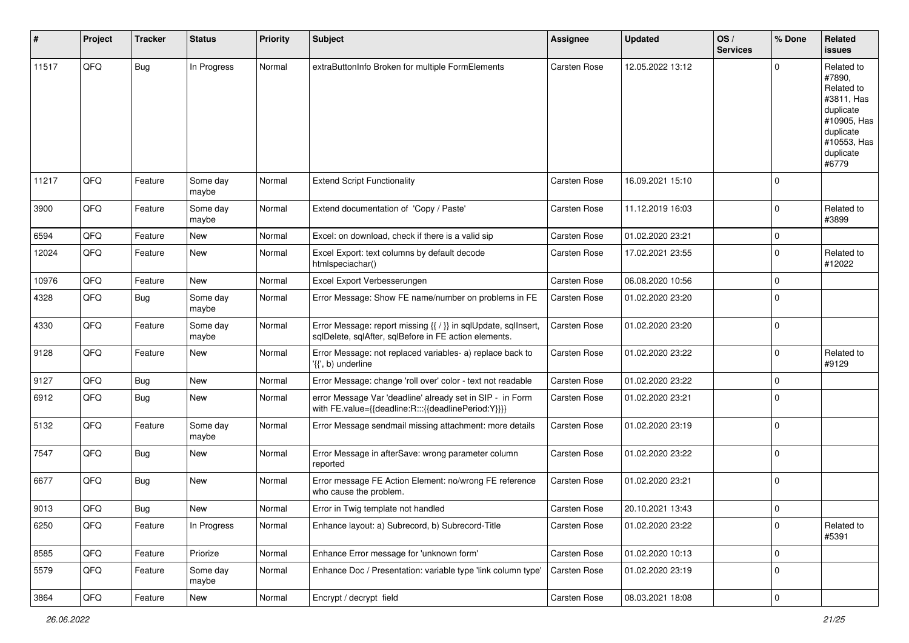| #     | Project | <b>Tracker</b> | <b>Status</b>     | <b>Priority</b> | Subject                                                                                                                 | <b>Assignee</b>     | <b>Updated</b>   | OS/<br><b>Services</b> | % Done      | Related<br>issues                                                                                                              |
|-------|---------|----------------|-------------------|-----------------|-------------------------------------------------------------------------------------------------------------------------|---------------------|------------------|------------------------|-------------|--------------------------------------------------------------------------------------------------------------------------------|
| 11517 | QFQ     | Bug            | In Progress       | Normal          | extraButtonInfo Broken for multiple FormElements                                                                        | <b>Carsten Rose</b> | 12.05.2022 13:12 |                        | $\Omega$    | Related to<br>#7890,<br>Related to<br>#3811, Has<br>duplicate<br>#10905, Has<br>duplicate<br>#10553, Has<br>duplicate<br>#6779 |
| 11217 | QFQ     | Feature        | Some day<br>maybe | Normal          | <b>Extend Script Functionality</b>                                                                                      | Carsten Rose        | 16.09.2021 15:10 |                        | $\Omega$    |                                                                                                                                |
| 3900  | QFQ     | Feature        | Some day<br>maybe | Normal          | Extend documentation of 'Copy / Paste'                                                                                  | Carsten Rose        | 11.12.2019 16:03 |                        | $\Omega$    | Related to<br>#3899                                                                                                            |
| 6594  | QFQ     | Feature        | <b>New</b>        | Normal          | Excel: on download, check if there is a valid sip                                                                       | Carsten Rose        | 01.02.2020 23:21 |                        | $\mathbf 0$ |                                                                                                                                |
| 12024 | QFQ     | Feature        | New               | Normal          | Excel Export: text columns by default decode<br>htmlspeciachar()                                                        | Carsten Rose        | 17.02.2021 23:55 |                        | $\mathbf 0$ | Related to<br>#12022                                                                                                           |
| 10976 | QFQ     | Feature        | <b>New</b>        | Normal          | Excel Export Verbesserungen                                                                                             | Carsten Rose        | 06.08.2020 10:56 |                        | $\mathbf 0$ |                                                                                                                                |
| 4328  | QFQ     | Bug            | Some day<br>maybe | Normal          | Error Message: Show FE name/number on problems in FE                                                                    | Carsten Rose        | 01.02.2020 23:20 |                        | $\Omega$    |                                                                                                                                |
| 4330  | QFQ     | Feature        | Some day<br>maybe | Normal          | Error Message: report missing {{ / }} in sqlUpdate, sqlInsert,<br>sqlDelete, sqlAfter, sqlBefore in FE action elements. | Carsten Rose        | 01.02.2020 23:20 |                        | l 0         |                                                                                                                                |
| 9128  | QFQ     | Feature        | New               | Normal          | Error Message: not replaced variables- a) replace back to<br>$\langle \{ \langle 1, \rangle \rangle \rangle$ underline  | Carsten Rose        | 01.02.2020 23:22 |                        | l 0         | Related to<br>#9129                                                                                                            |
| 9127  | QFQ     | <b>Bug</b>     | New               | Normal          | Error Message: change 'roll over' color - text not readable                                                             | Carsten Rose        | 01.02.2020 23:22 |                        | 0           |                                                                                                                                |
| 6912  | QFQ     | Bug            | New               | Normal          | error Message Var 'deadline' already set in SIP - in Form<br>with FE.value={{deadline:R:::{{deadlinePeriod:Y}}}}        | Carsten Rose        | 01.02.2020 23:21 |                        | $\Omega$    |                                                                                                                                |
| 5132  | QFQ     | Feature        | Some day<br>maybe | Normal          | Error Message sendmail missing attachment: more details                                                                 | Carsten Rose        | 01.02.2020 23:19 |                        | $\Omega$    |                                                                                                                                |
| 7547  | QFQ     | Bug            | New               | Normal          | Error Message in afterSave: wrong parameter column<br>reported                                                          | Carsten Rose        | 01.02.2020 23:22 |                        | l 0         |                                                                                                                                |
| 6677  | QFQ     | Bug            | <b>New</b>        | Normal          | Error message FE Action Element: no/wrong FE reference<br>who cause the problem.                                        | Carsten Rose        | 01.02.2020 23:21 |                        | l 0         |                                                                                                                                |
| 9013  | QFQ     | Bug            | New               | Normal          | Error in Twig template not handled                                                                                      | Carsten Rose        | 20.10.2021 13:43 |                        | l 0         |                                                                                                                                |
| 6250  | QFQ     | Feature        | In Progress       | Normal          | Enhance layout: a) Subrecord, b) Subrecord-Title                                                                        | Carsten Rose        | 01.02.2020 23:22 |                        | l 0         | Related to<br>#5391                                                                                                            |
| 8585  | QFQ     | Feature        | Priorize          | Normal          | Enhance Error message for 'unknown form'                                                                                | Carsten Rose        | 01.02.2020 10:13 |                        | l 0         |                                                                                                                                |
| 5579  | QFQ     | Feature        | Some day<br>maybe | Normal          | Enhance Doc / Presentation: variable type 'link column type'                                                            | Carsten Rose        | 01.02.2020 23:19 |                        | 0           |                                                                                                                                |
| 3864  | QFQ     | Feature        | New               | Normal          | Encrypt / decrypt field                                                                                                 | Carsten Rose        | 08.03.2021 18:08 |                        | 0           |                                                                                                                                |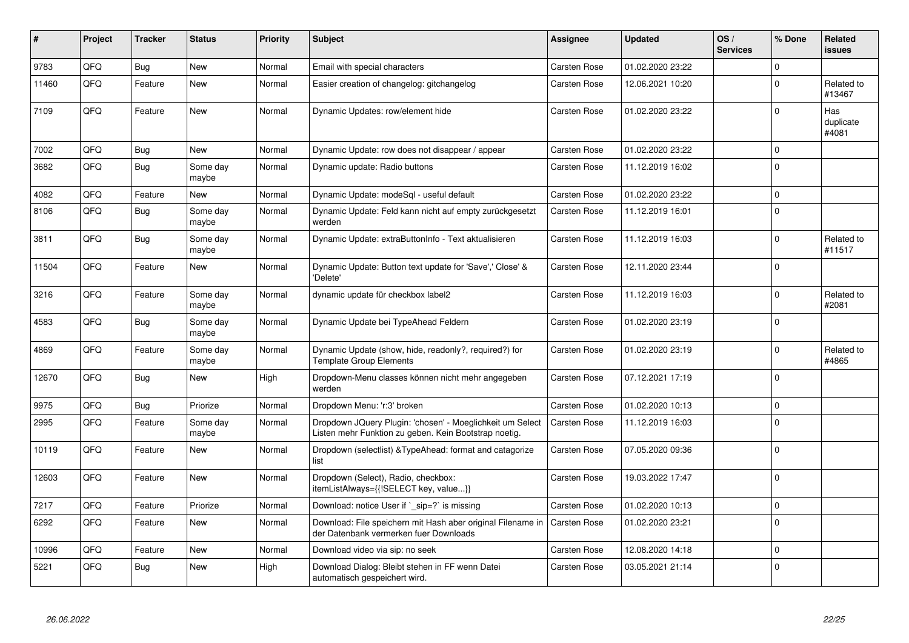| ∦     | Project | <b>Tracker</b> | <b>Status</b>     | <b>Priority</b> | <b>Subject</b>                                                                                                     | Assignee            | <b>Updated</b>   | OS/<br><b>Services</b> | % Done       | <b>Related</b><br><b>issues</b> |
|-------|---------|----------------|-------------------|-----------------|--------------------------------------------------------------------------------------------------------------------|---------------------|------------------|------------------------|--------------|---------------------------------|
| 9783  | QFQ     | <b>Bug</b>     | <b>New</b>        | Normal          | Email with special characters                                                                                      | <b>Carsten Rose</b> | 01.02.2020 23:22 |                        | $\Omega$     |                                 |
| 11460 | QFQ     | Feature        | <b>New</b>        | Normal          | Easier creation of changelog: gitchangelog                                                                         | Carsten Rose        | 12.06.2021 10:20 |                        | $\Omega$     | Related to<br>#13467            |
| 7109  | QFQ     | Feature        | <b>New</b>        | Normal          | Dynamic Updates: row/element hide                                                                                  | <b>Carsten Rose</b> | 01.02.2020 23:22 |                        | $\Omega$     | Has<br>duplicate<br>#4081       |
| 7002  | QFQ     | Bug            | <b>New</b>        | Normal          | Dynamic Update: row does not disappear / appear                                                                    | Carsten Rose        | 01.02.2020 23:22 |                        | $\Omega$     |                                 |
| 3682  | QFQ     | Bug            | Some day<br>maybe | Normal          | Dynamic update: Radio buttons                                                                                      | Carsten Rose        | 11.12.2019 16:02 |                        | $\Omega$     |                                 |
| 4082  | QFQ     | Feature        | <b>New</b>        | Normal          | Dynamic Update: modeSql - useful default                                                                           | Carsten Rose        | 01.02.2020 23:22 |                        | $\Omega$     |                                 |
| 8106  | QFQ     | Bug            | Some day<br>maybe | Normal          | Dynamic Update: Feld kann nicht auf empty zurückgesetzt<br>werden                                                  | <b>Carsten Rose</b> | 11.12.2019 16:01 |                        | $\mathbf{0}$ |                                 |
| 3811  | QFQ     | Bug            | Some day<br>maybe | Normal          | Dynamic Update: extraButtonInfo - Text aktualisieren                                                               | Carsten Rose        | 11.12.2019 16:03 |                        | $\Omega$     | Related to<br>#11517            |
| 11504 | QFQ     | Feature        | New               | Normal          | Dynamic Update: Button text update for 'Save',' Close' &<br>'Delete'                                               | Carsten Rose        | 12.11.2020 23:44 |                        | $\mathbf 0$  |                                 |
| 3216  | QFQ     | Feature        | Some day<br>maybe | Normal          | dynamic update für checkbox label2                                                                                 | <b>Carsten Rose</b> | 11.12.2019 16:03 |                        | $\Omega$     | Related to<br>#2081             |
| 4583  | QFQ     | <b>Bug</b>     | Some day<br>maybe | Normal          | Dynamic Update bei TypeAhead Feldern                                                                               | Carsten Rose        | 01.02.2020 23:19 |                        | $\Omega$     |                                 |
| 4869  | QFQ     | Feature        | Some day<br>maybe | Normal          | Dynamic Update (show, hide, readonly?, required?) for<br>Template Group Elements                                   | <b>Carsten Rose</b> | 01.02.2020 23:19 |                        | $\Omega$     | Related to<br>#4865             |
| 12670 | QFQ     | Bug            | New               | High            | Dropdown-Menu classes können nicht mehr angegeben<br>werden                                                        | <b>Carsten Rose</b> | 07.12.2021 17:19 |                        | $\Omega$     |                                 |
| 9975  | QFQ     | Bug            | Priorize          | Normal          | Dropdown Menu: 'r:3' broken                                                                                        | <b>Carsten Rose</b> | 01.02.2020 10:13 |                        | $\Omega$     |                                 |
| 2995  | QFQ     | Feature        | Some day<br>maybe | Normal          | Dropdown JQuery Plugin: 'chosen' - Moeglichkeit um Select<br>Listen mehr Funktion zu geben. Kein Bootstrap noetig. | Carsten Rose        | 11.12.2019 16:03 |                        | $\Omega$     |                                 |
| 10119 | QFQ     | Feature        | New               | Normal          | Dropdown (selectlist) & TypeAhead: format and catagorize<br>list                                                   | Carsten Rose        | 07.05.2020 09:36 |                        | $\Omega$     |                                 |
| 12603 | QFQ     | Feature        | <b>New</b>        | Normal          | Dropdown (Select), Radio, checkbox:<br>itemListAlways={{!SELECT key, value}}                                       | Carsten Rose        | 19.03.2022 17:47 |                        | $\Omega$     |                                 |
| 7217  | QFQ     | Feature        | Priorize          | Normal          | Download: notice User if `_sip=?` is missing                                                                       | <b>Carsten Rose</b> | 01.02.2020 10:13 |                        | $\Omega$     |                                 |
| 6292  | QFQ     | Feature        | <b>New</b>        | Normal          | Download: File speichern mit Hash aber original Filename in<br>der Datenbank vermerken fuer Downloads              | Carsten Rose        | 01.02.2020 23:21 |                        | $\Omega$     |                                 |
| 10996 | QFQ     | Feature        | <b>New</b>        | Normal          | Download video via sip: no seek                                                                                    | Carsten Rose        | 12.08.2020 14:18 |                        | $\Omega$     |                                 |
| 5221  | QFQ     | Bug            | <b>New</b>        | High            | Download Dialog: Bleibt stehen in FF wenn Datei<br>automatisch gespeichert wird.                                   | Carsten Rose        | 03.05.2021 21:14 |                        | $\Omega$     |                                 |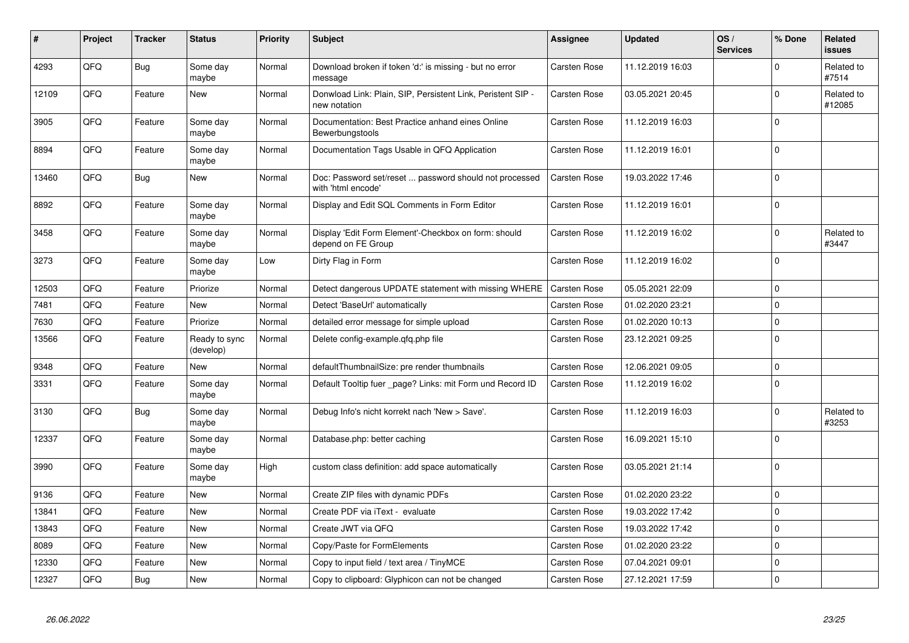| #     | Project | <b>Tracker</b> | <b>Status</b>              | <b>Priority</b> | <b>Subject</b>                                                               | Assignee            | <b>Updated</b>   | OS/<br><b>Services</b> | % Done   | Related<br>issues    |
|-------|---------|----------------|----------------------------|-----------------|------------------------------------------------------------------------------|---------------------|------------------|------------------------|----------|----------------------|
| 4293  | QFQ     | <b>Bug</b>     | Some day<br>maybe          | Normal          | Download broken if token 'd:' is missing - but no error<br>message           | Carsten Rose        | 11.12.2019 16:03 |                        | $\Omega$ | Related to<br>#7514  |
| 12109 | QFQ     | Feature        | <b>New</b>                 | Normal          | Donwload Link: Plain, SIP, Persistent Link, Peristent SIP -<br>new notation  | <b>Carsten Rose</b> | 03.05.2021 20:45 |                        | 0        | Related to<br>#12085 |
| 3905  | QFQ     | Feature        | Some day<br>maybe          | Normal          | Documentation: Best Practice anhand eines Online<br>Bewerbungstools          | <b>Carsten Rose</b> | 11.12.2019 16:03 |                        | $\Omega$ |                      |
| 8894  | QFQ     | Feature        | Some day<br>maybe          | Normal          | Documentation Tags Usable in QFQ Application                                 | Carsten Rose        | 11.12.2019 16:01 |                        | $\Omega$ |                      |
| 13460 | QFQ     | <b>Bug</b>     | New                        | Normal          | Doc: Password set/reset  password should not processed<br>with 'html encode' | Carsten Rose        | 19.03.2022 17:46 |                        | $\Omega$ |                      |
| 8892  | QFQ     | Feature        | Some day<br>maybe          | Normal          | Display and Edit SQL Comments in Form Editor                                 | Carsten Rose        | 11.12.2019 16:01 |                        | $\Omega$ |                      |
| 3458  | QFQ     | Feature        | Some day<br>maybe          | Normal          | Display 'Edit Form Element'-Checkbox on form: should<br>depend on FE Group   | Carsten Rose        | 11.12.2019 16:02 |                        | $\Omega$ | Related to<br>#3447  |
| 3273  | QFQ     | Feature        | Some day<br>maybe          | Low             | Dirty Flag in Form                                                           | Carsten Rose        | 11.12.2019 16:02 |                        | $\Omega$ |                      |
| 12503 | QFQ     | Feature        | Priorize                   | Normal          | Detect dangerous UPDATE statement with missing WHERE                         | <b>Carsten Rose</b> | 05.05.2021 22:09 |                        | $\Omega$ |                      |
| 7481  | QFQ     | Feature        | <b>New</b>                 | Normal          | Detect 'BaseUrl' automatically                                               | Carsten Rose        | 01.02.2020 23:21 |                        | $\Omega$ |                      |
| 7630  | QFQ     | Feature        | Priorize                   | Normal          | detailed error message for simple upload                                     | Carsten Rose        | 01.02.2020 10:13 |                        | $\Omega$ |                      |
| 13566 | QFQ     | Feature        | Ready to sync<br>(develop) | Normal          | Delete config-example.gfg.php file                                           | Carsten Rose        | 23.12.2021 09:25 |                        | $\Omega$ |                      |
| 9348  | QFQ     | Feature        | New                        | Normal          | defaultThumbnailSize: pre render thumbnails                                  | Carsten Rose        | 12.06.2021 09:05 |                        | $\Omega$ |                      |
| 3331  | QFQ     | Feature        | Some day<br>maybe          | Normal          | Default Tooltip fuer _page? Links: mit Form und Record ID                    | <b>Carsten Rose</b> | 11.12.2019 16:02 |                        | $\Omega$ |                      |
| 3130  | QFQ     | <b>Bug</b>     | Some day<br>maybe          | Normal          | Debug Info's nicht korrekt nach 'New > Save'.                                | Carsten Rose        | 11.12.2019 16:03 |                        | $\Omega$ | Related to<br>#3253  |
| 12337 | QFQ     | Feature        | Some day<br>maybe          | Normal          | Database.php: better caching                                                 | Carsten Rose        | 16.09.2021 15:10 |                        | $\Omega$ |                      |
| 3990  | QFQ     | Feature        | Some day<br>maybe          | High            | custom class definition: add space automatically                             | <b>Carsten Rose</b> | 03.05.2021 21:14 |                        | $\Omega$ |                      |
| 9136  | QFQ     | Feature        | <b>New</b>                 | Normal          | Create ZIP files with dynamic PDFs                                           | Carsten Rose        | 01.02.2020 23:22 |                        | $\Omega$ |                      |
| 13841 | QFQ     | Feature        | <b>New</b>                 | Normal          | Create PDF via iText - evaluate                                              | Carsten Rose        | 19.03.2022 17:42 |                        | $\Omega$ |                      |
| 13843 | QFQ     | Feature        | <b>New</b>                 | Normal          | Create JWT via QFQ                                                           | <b>Carsten Rose</b> | 19.03.2022 17:42 |                        | $\Omega$ |                      |
| 8089  | QFQ     | Feature        | <b>New</b>                 | Normal          | Copy/Paste for FormElements                                                  | Carsten Rose        | 01.02.2020 23:22 |                        | 0        |                      |
| 12330 | QFQ     | Feature        | <b>New</b>                 | Normal          | Copy to input field / text area / TinyMCE                                    | Carsten Rose        | 07.04.2021 09:01 |                        | $\Omega$ |                      |
| 12327 | QFQ     | Bug            | New                        | Normal          | Copy to clipboard: Glyphicon can not be changed                              | <b>Carsten Rose</b> | 27.12.2021 17:59 |                        | $\Omega$ |                      |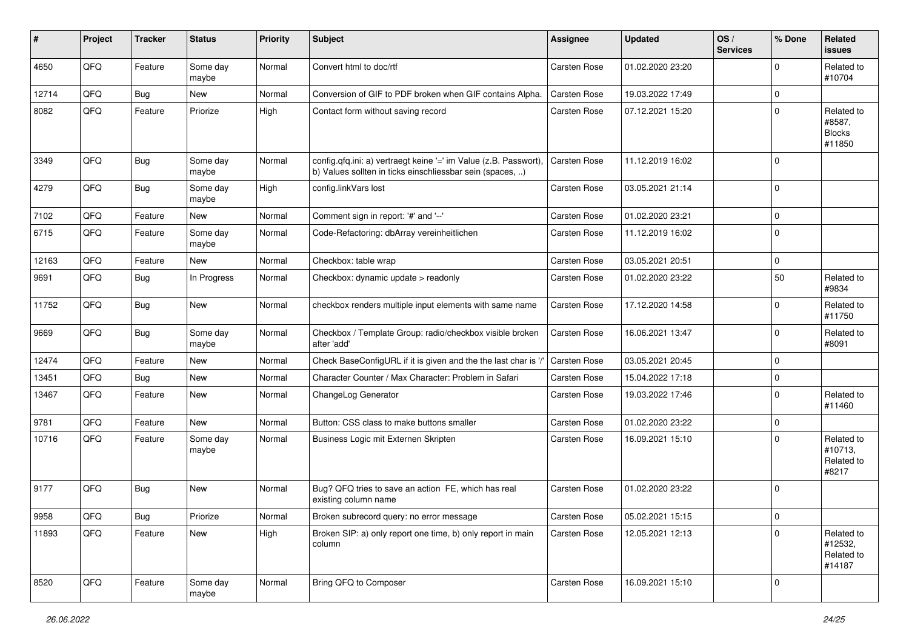| #     | Project | <b>Tracker</b> | <b>Status</b>     | <b>Priority</b> | <b>Subject</b>                                                                                                                | <b>Assignee</b>     | <b>Updated</b>   | OS/<br><b>Services</b> | % Done      | Related<br><b>issues</b>                        |
|-------|---------|----------------|-------------------|-----------------|-------------------------------------------------------------------------------------------------------------------------------|---------------------|------------------|------------------------|-------------|-------------------------------------------------|
| 4650  | QFQ     | Feature        | Some day<br>maybe | Normal          | Convert html to doc/rtf                                                                                                       | <b>Carsten Rose</b> | 01.02.2020 23:20 |                        | $\Omega$    | Related to<br>#10704                            |
| 12714 | QFQ     | <b>Bug</b>     | New               | Normal          | Conversion of GIF to PDF broken when GIF contains Alpha.                                                                      | Carsten Rose        | 19.03.2022 17:49 |                        | $\mathbf 0$ |                                                 |
| 8082  | QFQ     | Feature        | Priorize          | High            | Contact form without saving record                                                                                            | Carsten Rose        | 07.12.2021 15:20 |                        | $\Omega$    | Related to<br>#8587,<br><b>Blocks</b><br>#11850 |
| 3349  | QFQ     | <b>Bug</b>     | Some day<br>maybe | Normal          | config.qfq.ini: a) vertraegt keine '=' im Value (z.B. Passwort),<br>b) Values sollten in ticks einschliessbar sein (spaces, ) | <b>Carsten Rose</b> | 11.12.2019 16:02 |                        | $\Omega$    |                                                 |
| 4279  | QFQ     | <b>Bug</b>     | Some day<br>maybe | High            | config.linkVars lost                                                                                                          | Carsten Rose        | 03.05.2021 21:14 |                        | $\mathbf 0$ |                                                 |
| 7102  | QFQ     | Feature        | <b>New</b>        | Normal          | Comment sign in report: '#' and '--'                                                                                          | <b>Carsten Rose</b> | 01.02.2020 23:21 |                        | $\mathbf 0$ |                                                 |
| 6715  | QFQ     | Feature        | Some day<br>maybe | Normal          | Code-Refactoring: dbArray vereinheitlichen                                                                                    | Carsten Rose        | 11.12.2019 16:02 |                        | $\Omega$    |                                                 |
| 12163 | QFQ     | Feature        | <b>New</b>        | Normal          | Checkbox: table wrap                                                                                                          | <b>Carsten Rose</b> | 03.05.2021 20:51 |                        | $\mathbf 0$ |                                                 |
| 9691  | QFQ     | <b>Bug</b>     | In Progress       | Normal          | Checkbox: dynamic update > readonly                                                                                           | Carsten Rose        | 01.02.2020 23:22 |                        | 50          | Related to<br>#9834                             |
| 11752 | QFQ     | <b>Bug</b>     | New               | Normal          | checkbox renders multiple input elements with same name                                                                       | Carsten Rose        | 17.12.2020 14:58 |                        | $\Omega$    | Related to<br>#11750                            |
| 9669  | QFQ     | <b>Bug</b>     | Some day<br>maybe | Normal          | Checkbox / Template Group: radio/checkbox visible broken<br>after 'add'                                                       | Carsten Rose        | 16.06.2021 13:47 |                        | $\Omega$    | Related to<br>#8091                             |
| 12474 | QFQ     | Feature        | <b>New</b>        | Normal          | Check BaseConfigURL if it is given and the the last char is '/                                                                | Carsten Rose        | 03.05.2021 20:45 |                        | $\Omega$    |                                                 |
| 13451 | QFQ     | <b>Bug</b>     | New               | Normal          | Character Counter / Max Character: Problem in Safari                                                                          | Carsten Rose        | 15.04.2022 17:18 |                        | $\mathbf 0$ |                                                 |
| 13467 | QFQ     | Feature        | <b>New</b>        | Normal          | ChangeLog Generator                                                                                                           | Carsten Rose        | 19.03.2022 17:46 |                        | $\Omega$    | Related to<br>#11460                            |
| 9781  | QFQ     | Feature        | <b>New</b>        | Normal          | Button: CSS class to make buttons smaller                                                                                     | Carsten Rose        | 01.02.2020 23:22 |                        | $\mathbf 0$ |                                                 |
| 10716 | QFQ     | Feature        | Some day<br>maybe | Normal          | Business Logic mit Externen Skripten                                                                                          | Carsten Rose        | 16.09.2021 15:10 |                        | $\Omega$    | Related to<br>#10713,<br>Related to<br>#8217    |
| 9177  | QFQ     | <b>Bug</b>     | <b>New</b>        | Normal          | Bug? QFQ tries to save an action FE, which has real<br>existing column name                                                   | <b>Carsten Rose</b> | 01.02.2020 23:22 |                        | $\Omega$    |                                                 |
| 9958  | QFQ     | Bug            | Priorize          | Normal          | Broken subrecord query: no error message                                                                                      | Carsten Rose        | 05.02.2021 15:15 |                        | ∣ U         |                                                 |
| 11893 | QFQ     | Feature        | New               | High            | Broken SIP: a) only report one time, b) only report in main<br>column                                                         | Carsten Rose        | 12.05.2021 12:13 |                        | $\Omega$    | Related to<br>#12532,<br>Related to<br>#14187   |
| 8520  | QFQ     | Feature        | Some day<br>maybe | Normal          | Bring QFQ to Composer                                                                                                         | Carsten Rose        | 16.09.2021 15:10 |                        | $\mathbf 0$ |                                                 |